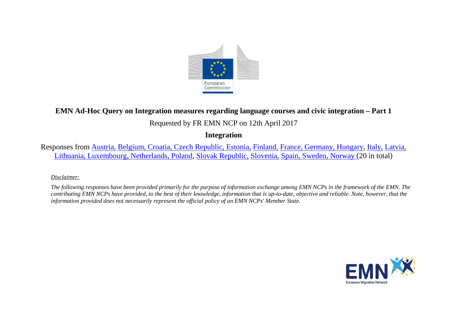

## **EMN Ad-Hoc Query on Integration measures regarding language courses and civic integration – Part 1**

# Requested by FR EMN NCP on 12th April 2017

## **Integration**

Responses from [Austria,](#page-1-0) [Belgium, Croatia,](#page-4-0) [Czech Republic, Estonia,](#page-10-0) [Finland,](#page-12-0) [France, Germany,](#page-14-0) [Hungary,](#page-16-0) [Italy,](#page-16-1) [Latvia,](#page-19-0)  [Lithuania, Luxembourg,](#page-20-0) [Netherlands, Poland,](#page-23-0) [Slovak Republic,](#page-28-0) [Slovenia,](#page-29-0) [Spain, Sweden,](#page-30-0) [Norway \(](#page-31-0)20 in total)

### *Disclaimer:*

*The following responses have been provided primarily for the purpose of information exchange among EMN NCPs in the framework of the EMN. The contributing EMN NCPs have provided, to the best of their knowledge, information that is up-to-date, objective and reliable. Note, however, that the information provided does not necessarily represent the official policy of an EMN NCPs' Member State.*

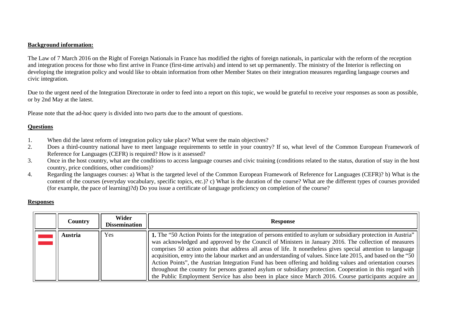### **Background information:**

The Law of 7 March 2016 on the Right of Foreign Nationals in France has modified the rights of foreign nationals, in particular with the reform of the reception and integration process for those who first arrive in France (first-time arrivals) and intend to set up permanently. The ministry of the Interior is reflecting on developing the integration policy and would like to obtain information from other Member States on their integration measures regarding language courses and civic integration.

Due to the urgent need of the Integration Directorate in order to feed into a report on this topic, we would be grateful to receive your responses as soon as possible, or by 2nd May at the latest.

Please note that the ad-hoc query is divided into two parts due to the amount of questions.

### **Questions**

- 1. When did the latest reform of integration policy take place? What were the main objectives?<br>2. Does a third-country national have to meet language requirements to settle in your country
- Does a third-country national have to meet language requirements to settle in your country? If so, what level of the Common European Framework of Reference for Languages (CEFR) is required? How is it assessed?
- 3. Once in the host country, what are the conditions to access language courses and civic training (conditions related to the status, duration of stay in the host country, price conditions, other conditions)?
- 4. Regarding the languages courses: a) What is the targeted level of the Common European Framework of Reference for Languages (CEFR)? b) What is the content of the courses (everyday vocabulary, specific topics, etc.)? c) What is the duration of the course? What are the different types of courses provided (for example, the pace of learning)?d) Do you issue a certificate of language proficiency on completion of the course?

### **Responses**

<span id="page-1-0"></span>

| Country | Wider<br><b>Dissemination</b> | <b>Response</b>                                                                                                                                                                                                                                                                                                                                                                                                                                                                                                                                                                                                                                                                                                                                                                                    |
|---------|-------------------------------|----------------------------------------------------------------------------------------------------------------------------------------------------------------------------------------------------------------------------------------------------------------------------------------------------------------------------------------------------------------------------------------------------------------------------------------------------------------------------------------------------------------------------------------------------------------------------------------------------------------------------------------------------------------------------------------------------------------------------------------------------------------------------------------------------|
| Austria | Yes                           | 1. The "50 Action Points for the integration of persons entitled to asylum or subsidiary protection in Austria"<br>was acknowledged and approved by the Council of Ministers in January 2016. The collection of measures<br>comprises 50 action points that address all areas of life. It nonetheless gives special attention to language<br>acquisition, entry into the labour market and an understanding of values. Since late 2015, and based on the "50<br>Action Points", the Austrian Integration Fund has been offering and holding values and orientation courses<br>throughout the country for persons granted asylum or subsidiary protection. Cooperation in this regard with<br>the Public Employment Service has also been in place since March 2016. Course participants acquire an |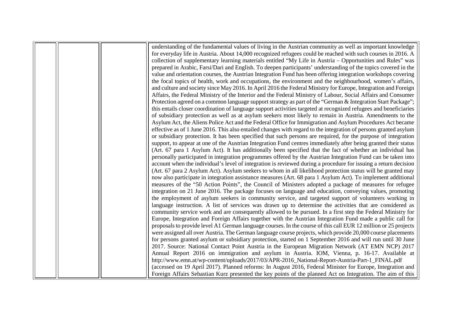|  | understanding of the fundamental values of living in the Austrian community as well as important knowledge        |
|--|-------------------------------------------------------------------------------------------------------------------|
|  | for everyday life in Austria. About 14,000 recognized refugees could be reached with such courses in 2016. A      |
|  | collection of supplementary learning materials entitled "My Life in Austria – Opportunities and Rules" was        |
|  | prepared in Arabic, Farsi/Dari and English. To deepen participants' understanding of the topics covered in the    |
|  | value and orientation courses, the Austrian Integration Fund has been offering integration workshops covering     |
|  | the focal topics of health, work and occupations, the environment and the neighbourhood, women's affairs,         |
|  | and culture and society since May 2016. In April 2016 the Federal Ministry for Europe, Integration and Foreign    |
|  | Affairs, the Federal Ministry of the Interior and the Federal Ministry of Labour, Social Affairs and Consumer     |
|  | Protection agreed on a common language support strategy as part of the "German & Integration Start Package";      |
|  | this entails closer coordination of language support activities targeted at recognized refugees and beneficiaries |
|  | of subsidiary protection as well as at asylum seekers most likely to remain in Austria. Amendments to the         |
|  |                                                                                                                   |
|  | Asylum Act, the Aliens Police Act and the Federal Office for Immigration and Asylum Procedures Act became         |
|  | effective as of 1 June 2016. This also entailed changes with regard to the integration of persons granted asylum  |
|  | or subsidiary protection. It has been specified that such persons are required, for the purpose of integration    |
|  | support, to appear at one of the Austrian Integration Fund centres immediately after being granted their status   |
|  | (Art. 67 para 1 Asylum Act). It has additionally been specified that the fact of whether an individual has        |
|  | personally participated in integration programmes offered by the Austrian Integration Fund can be taken into      |
|  | account when the individual's level of integration is reviewed during a procedure for issuing a return decision   |
|  | (Art. 67 para 2 Asylum Act). Asylum seekers to whom in all likelihood protection status will be granted may       |
|  | now also participate in integration assistance measures (Art. 68 para 1 Asylum Act). To implement additional      |
|  | measures of the "50 Action Points", the Council of Ministers adopted a package of measures for refugee            |
|  | integration on 21 June 2016. The package focuses on language and education, conveying values, promoting           |
|  | the employment of asylum seekers in community service, and targeted support of volunteers working in              |
|  | language instruction. A list of services was drawn up to determine the activities that are considered as          |
|  | community service work and are consequently allowed to be pursued. In a first step the Federal Ministry for       |
|  | Europe, Integration and Foreign Affairs together with the Austrian Integration Fund made a public call for        |
|  | proposals to provide level A1 German language courses. In the course of this call EUR 12 million or 25 projects   |
|  | were assigned all over Austria. The German language course projects, which provide 20,000 course placements       |
|  | for persons granted asylum or subsidiary protection, started on 1 September 2016 and will run until 30 June       |
|  |                                                                                                                   |
|  | 2017. Source: National Contact Point Austria in the European Migration Network (AT EMN NCP) 2017                  |
|  | Annual Report 2016 on immigration and asylum in Austria. IOM, Vienna, p. 16-17. Available at                      |
|  | http://www.emn.at/wp-content/uploads/2017/03/APR-2016_National-Report-Austria-Part-1_FINAL.pdf                    |
|  | (accessed on 19 April 2017). Planned reforms: In August 2016, Federal Minister for Europe, Integration and        |
|  | Foreign Affairs Sebastian Kurz presented the key points of the planned Act on Integration. The aim of this        |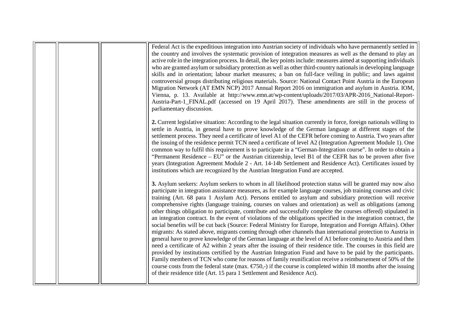| Federal Act is the expeditious integration into Austrian society of individuals who have permanently settled in<br>the country and involves the systematic provision of integration measures as well as the demand to play an<br>active role in the integration process. In detail, the key points include: measures aimed at supporting individuals<br>who are granted asylum or subsidiary protection as well as other third-country nationals in developing language<br>skills and in orientation; labour market measures; a ban on full-face veiling in public; and laws against<br>controversial groups distributing religious materials. Source: National Contact Point Austria in the European<br>Migration Network (AT EMN NCP) 2017 Annual Report 2016 on immigration and asylum in Austria. IOM,<br>Vienna, p. 13. Available at http://www.emn.at/wp-content/uploads/2017/03/APR-2016_National-Report-<br>Austria-Part-1_FINAL.pdf (accessed on 19 April 2017). These amendments are still in the process of<br>parliamentary discussion.                                                                                                                                                                                                                                                                                                                                                                                                                                                                                                                                                      |
|----------------------------------------------------------------------------------------------------------------------------------------------------------------------------------------------------------------------------------------------------------------------------------------------------------------------------------------------------------------------------------------------------------------------------------------------------------------------------------------------------------------------------------------------------------------------------------------------------------------------------------------------------------------------------------------------------------------------------------------------------------------------------------------------------------------------------------------------------------------------------------------------------------------------------------------------------------------------------------------------------------------------------------------------------------------------------------------------------------------------------------------------------------------------------------------------------------------------------------------------------------------------------------------------------------------------------------------------------------------------------------------------------------------------------------------------------------------------------------------------------------------------------------------------------------------------------------------------------------|
| 2. Current legislative situation: According to the legal situation currently in force, foreign nationals willing to<br>settle in Austria, in general have to prove knowledge of the German language at different stages of the<br>settlement process. They need a certificate of level A1 of the CEFR before coming to Austria. Two years after<br>the issuing of the residence permit TCN need a certificate of level A2 (Integration Agreement Module 1). One<br>common way to fulfil this requirement is to participate in a "German-Integration course". In order to obtain a<br>"Permanent Residence – EU" or the Austrian citizenship, level B1 of the CEFR has to be proven after five<br>years (Integration Agreement Module 2 - Art. 14-14b Settlement and Residence Act). Certificates issued by<br>institutions which are recognized by the Austrian Integration Fund are accepted.                                                                                                                                                                                                                                                                                                                                                                                                                                                                                                                                                                                                                                                                                                           |
| 3. Asylum seekers: Asylum seekers to whom in all likelihood protection status will be granted may now also<br>participate in integration assistance measures, as for example language courses, job training courses and civic<br>training (Art. 68 para 1 Asylum Act). Persons entitled to asylum and subsidiary protection will receive<br>comprehensive rights (language training, courses on values and orientation) as well as obligations (among<br>other things obligation to participate, contribute and successfully complete the courses offered) stipulated in<br>an integration contract. In the event of violations of the obligations specified in the integration contract, the<br>social benefits will be cut back (Source: Federal Ministry for Europe, Integration and Foreign Affairs). Other<br>migrants: As stated above, migrants coming through other channels than international protection to Austria in<br>general have to prove knowledge of the German language at the level of A1 before coming to Austria and then<br>need a certificate of A2 within 2 years after the issuing of their residence title. The courses in this field are<br>provided by institutions certified by the Austrian Integration Fund and have to be paid by the participants.<br>Family members of TCN who come for reasons of family reunification receive a reimbursement of 50% of the<br>course costs from the federal state (max. $\epsilon$ 750,-) if the course is completed within 18 months after the issuing<br>of their residence title (Art. 15 para 1 Settlement and Residence Act). |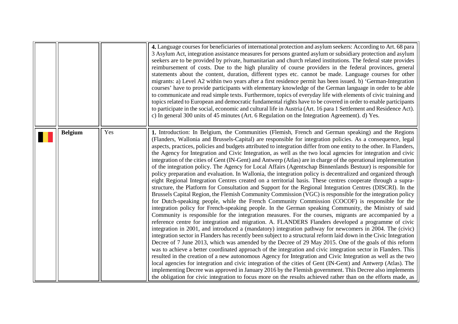<span id="page-4-0"></span>

|                |     | 4. Language courses for beneficiaries of international protection and asylum seekers: According to Art. 68 para<br>3 Asylum Act, integration assistance measures for persons granted asylum or subsidiary protection and asylum<br>seekers are to be provided by private, humanitarian and church related institutions. The federal state provides<br>reimbursement of costs. Due to the high plurality of course providers in the federal provinces, general<br>statements about the content, duration, different types etc. cannot be made. Language courses for other<br>migrants: a) Level A2 within two years after a first residence permit has been issued. b) 'German-Integration<br>courses' have to provide participants with elementary knowledge of the German language in order to be able<br>to communicate and read simple texts. Furthermore, topics of everyday life with elements of civic training and<br>topics related to European and democratic fundamental rights have to be covered in order to enable participants<br>to participate in the social, economic and cultural life in Austria (Art. 16 para 1 Settlement and Residence Act).<br>c) In general 300 units of 45 minutes (Art. 6 Regulation on the Integration Agreement). d) Yes.                                                                                                                                                                                                                                                                                                                                                                                                                                                                                                                                                                                                                                                                                                                                                                                                                                                                                                                                                                                                                                                                                                                                                                                                                                           |
|----------------|-----|-----------------------------------------------------------------------------------------------------------------------------------------------------------------------------------------------------------------------------------------------------------------------------------------------------------------------------------------------------------------------------------------------------------------------------------------------------------------------------------------------------------------------------------------------------------------------------------------------------------------------------------------------------------------------------------------------------------------------------------------------------------------------------------------------------------------------------------------------------------------------------------------------------------------------------------------------------------------------------------------------------------------------------------------------------------------------------------------------------------------------------------------------------------------------------------------------------------------------------------------------------------------------------------------------------------------------------------------------------------------------------------------------------------------------------------------------------------------------------------------------------------------------------------------------------------------------------------------------------------------------------------------------------------------------------------------------------------------------------------------------------------------------------------------------------------------------------------------------------------------------------------------------------------------------------------------------------------------------------------------------------------------------------------------------------------------------------------------------------------------------------------------------------------------------------------------------------------------------------------------------------------------------------------------------------------------------------------------------------------------------------------------------------------------------------------------------------------------------------------------------------------------|
| <b>Belgium</b> | Yes | 1. Introduction: In Belgium, the Communities (Flemish, French and German speaking) and the Regions<br>(Flanders, Wallonia and Brussels-Capital) are responsible for integration policies. As a consequence, legal<br>aspects, practices, policies and budgets attributed to integration differ from one entity to the other. In Flanders,<br>the Agency for Integration and Civic Integration, as well as the two local agencies for integration and civic<br>integration of the cities of Gent (IN-Gent) and Antwerp (Atlas) are in charge of the operational implementation<br>of the integration policy. The Agency for Local Affairs (Agentschap Binnenlands Bestuur) is responsible for<br>policy preparation and evaluation. In Wallonia, the integration policy is decentralized and organized through<br>eight Regional Integration Centres created on a territorial basis. These centres cooperate through a supra-<br>structure, the Platform for Consultation and Support for the Regional Integration Centres (DISCRI). In the<br>Brussels Capital Region, the Flemish Community Commission (VGC) is responsible for the integration policy<br>for Dutch-speaking people, while the French Community Commission (COCOF) is responsible for the<br>integration policy for French-speaking people. In the German speaking Community, the Ministry of said<br>Community is responsible for the integration measures. For the courses, migrants are accompanied by a<br>reference centre for integration and migration. A. FLANDERS Flanders developed a programme of civic<br>integration in 2001, and introduced a (mandatory) integration pathway for newcomers in 2004. The (civic)<br>integration sector in Flanders has recently been subject to a structural reform laid down in the Civic Integration<br>Decree of 7 June 2013, which was amended by the Decree of 29 May 2015. One of the goals of this reform<br>was to achieve a better coordinated approach of the integration and civic integration sector in Flanders. This<br>resulted in the creation of a new autonomous Agency for Integration and Civic Integration as well as the two<br>local agencies for integration and civic integration of the cities of Gent (IN-Gent) and Antwerp (Atlas). The<br>implementing Decree was approved in January 2016 by the Flemish government. This Decree also implements<br>the obligation for civic integration to focus more on the results achieved rather than on the efforts made, as |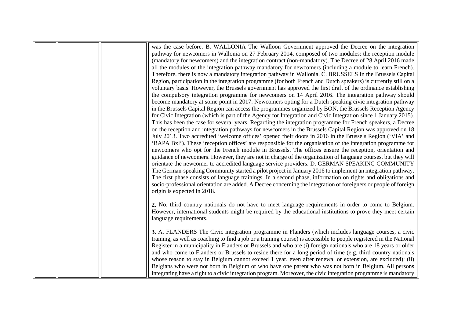|  | was the case before. B. WALLONIA The Walloon Government approved the Decree on the integration<br>pathway for newcomers in Wallonia on 27 February 2014, composed of two modules: the reception module<br>(mandatory for newcomers) and the integration contract (non-mandatory). The Decree of 28 April 2016 made<br>all the modules of the integration pathway mandatory for newcomers (including a module to learn French).<br>Therefore, there is now a mandatory integration pathway in Wallonia. C. BRUSSELS In the Brussels Capital<br>Region, participation in the integration programme (for both French and Dutch speakers) is currently still on a<br>voluntary basis. However, the Brussels government has approved the first draft of the ordinance establishing                                                                                                                                                                                                                                                                                                                                                                                     |
|--|-------------------------------------------------------------------------------------------------------------------------------------------------------------------------------------------------------------------------------------------------------------------------------------------------------------------------------------------------------------------------------------------------------------------------------------------------------------------------------------------------------------------------------------------------------------------------------------------------------------------------------------------------------------------------------------------------------------------------------------------------------------------------------------------------------------------------------------------------------------------------------------------------------------------------------------------------------------------------------------------------------------------------------------------------------------------------------------------------------------------------------------------------------------------|
|  | the compulsory integration programme for newcomers on 14 April 2016. The integration pathway should<br>become mandatory at some point in 2017. Newcomers opting for a Dutch speaking civic integration pathway<br>in the Brussels Capital Region can access the programmes organized by BON, the Brussels Reception Agency<br>for Civic Integration (which is part of the Agency for Integration and Civic Integration since 1 January 2015).                                                                                                                                                                                                                                                                                                                                                                                                                                                                                                                                                                                                                                                                                                                     |
|  | This has been the case for several years. Regarding the integration programme for French speakers, a Decree<br>on the reception and integration pathways for newcomers in the Brussels Capital Region was approved on 18<br>July 2013. Two accredited 'welcome offices' opened their doors in 2016 in the Brussels Region ('VIA' and<br>'BAPA Bxl'). These 'reception offices' are responsible for the organisation of the integration programme for<br>newcomers who opt for the French module in Brussels. The offices ensure the reception, orientation and<br>guidance of newcomers. However, they are not in charge of the organization of language courses, but they will<br>orientate the newcomer to accredited language service providers. D. GERMAN SPEAKING COMMUNITY<br>The German-speaking Community started a pilot project in January 2016 to implement an integration pathway.<br>The first phase consists of language trainings. In a second phase, information on rights and obligations and<br>socio-professional orientation are added. A Decree concerning the integration of foreigners or people of foreign<br>origin is expected in 2018. |
|  | 2. No, third country nationals do not have to meet language requirements in order to come to Belgium.<br>However, international students might be required by the educational institutions to prove they meet certain<br>language requirements.                                                                                                                                                                                                                                                                                                                                                                                                                                                                                                                                                                                                                                                                                                                                                                                                                                                                                                                   |
|  | 3. A. FLANDERS The Civic integration programme in Flanders (which includes language courses, a civic<br>training, as well as coaching to find a job or a training course) is accessible to people registered in the National<br>Register in a municipality in Flanders or Brussels and who are (i) foreign nationals who are 18 years or older<br>and who come to Flanders or Brussels to reside there for a long period of time (e.g. third country nationals<br>whose reason to stay in Belgium cannot exceed 1 year, even after renewal or extension, are excluded); (ii)<br>Belgians who were not born in Belgium or who have one parent who was not born in Belgium. All persons<br>integrating have a right to a civic integration program. Moreover, the civic integration programme is mandatory                                                                                                                                                                                                                                                                                                                                                          |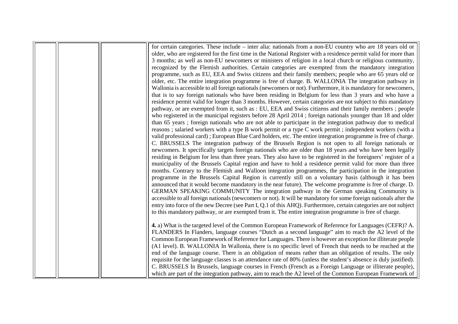|  | for certain categories. These include – inter alia: nationals from a non-EU country who are 18 years old or       |
|--|-------------------------------------------------------------------------------------------------------------------|
|  | older, who are registered for the first time in the National Register with a residence permit valid for more than |
|  | 3 months; as well as non-EU newcomers or ministers of religion in a local church or religious community,          |
|  | recognized by the Flemish authorities. Certain categories are exempted from the mandatory integration             |
|  | programme, such as EU, EEA and Swiss citizens and their family members; people who are 65 years old or            |
|  | older, etc. The entire integration programme is free of charge. B. WALLONIA The integration pathway in            |
|  | Wallonia is accessible to all foreign nationals (newcomers or not). Furthermore, it is mandatory for newcomers,   |
|  | that is to say foreign nationals who have been residing in Belgium for less than 3 years and who have a           |
|  | residence permit valid for longer than 3 months. However, certain categories are not subject to this mandatory    |
|  | pathway, or are exempted from it, such as : EU, EEA and Swiss citizens and their family members; people           |
|  | who registered in the municipal registers before 28 April 2014; foreign nationals younger than 18 and older       |
|  | than 65 years; foreign nationals who are not able to participate in the integration pathway due to medical        |
|  | reasons; salaried workers with a type B work permit or a type C work permit; independent workers (with a          |
|  | valid professional card); European Blue Card holders, etc. The entire integration programme is free of charge.    |
|  | C. BRUSSELS The integration pathway of the Brussels Region is not open to all foreign nationals or                |
|  | newcomers. It specifically targets foreign nationals who are older than 18 years and who have been legally        |
|  | residing in Belgium for less than three years. They also have to be registered in the foreigners' register of a   |
|  | municipality of the Brussels Capital region and have to hold a residence permit valid for more than three         |
|  | months. Contrary to the Flemish and Walloon integration programmes, the participation in the integration          |
|  | programme in the Brussels Capital Region is currently still on a voluntary basis (although it has been            |
|  | announced that it would become mandatory in the near future). The welcome programme is free of charge. D.         |
|  | GERMAN SPEAKING COMMUNITY The integration pathway in the German speaking Community is                             |
|  | accessible to all foreign nationals (newcomers or not). It will be mandatory for some foreign nationals after the |
|  | entry into force of the new Decree (see Part I, Q.1 of this AHQ). Furthermore, certain categories are not subject |
|  | to this mandatory pathway, or are exempted from it. The entire integration programme is free of charge.           |
|  | 4. a) What is the targeted level of the Common European Framework of Reference for Languages (CEFR)? A.           |
|  | FLANDERS In Flanders, language courses "Dutch as a second language" aim to reach the A2 level of the              |
|  | Common European Framework of Reference for Languages. There is however an exception for illiterate people         |
|  | (A1 level). B. WALLONIA In Wallonia, there is no specific level of French that needs to be reached at the         |
|  | end of the language course. There is an obligation of means rather than an obligation of results. The only        |
|  | requisite for the language classes is an attendance rate of 80% (unless the student's absence is duly justified). |
|  | C. BRUSSELS In Brussels, language courses in French (French as a Foreign Language or illiterate people),          |
|  | which are part of the integration pathway, aim to reach the A2 level of the Common European Framework of          |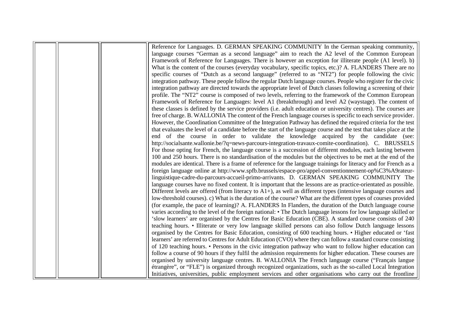|  | Reference for Languages. D. GERMAN SPEAKING COMMUNITY In the German speaking community,                              |
|--|----------------------------------------------------------------------------------------------------------------------|
|  | language courses "German as a second language" aim to reach the A2 level of the Common European                      |
|  | Framework of Reference for Languages. There is however an exception for illiterate people (A1 level). b)             |
|  | What is the content of the courses (everyday vocabulary, specific topics, etc.)? A. FLANDERS There are no            |
|  | specific courses of "Dutch as a second language" (referred to as "NT2") for people following the civic               |
|  | integration pathway. These people follow the regular Dutch language courses. People who register for the civic       |
|  | integration pathway are directed towards the appropriate level of Dutch classes following a screening of their       |
|  | profile. The "NT2" course is composed of two levels, referring to the framework of the Common European               |
|  | Framework of Reference for Languages: level A1 (breakthrough) and level A2 (waystage). The content of                |
|  | these classes is defined by the service providers (i.e. adult education or university centres). The courses are      |
|  | free of charge. B. WALLONIA The content of the French language courses is specific to each service provider.         |
|  | However, the Coordination Committee of the Integration Pathway has defined the required criteria for the test        |
|  | that evaluates the level of a candidate before the start of the language course and the test that takes place at the |
|  | end of the course in order to validate the knowledge acquired by the candidate (see:                                 |
|  | http://socialsante.wallonie.be/?q=news-parcours-integration-travaux-comite-coordination). C. BRUSSELS                |
|  | For those opting for French, the language course is a succession of different modules, each lasting between          |
|  | 100 and 250 hours. There is no standardisation of the modules but the objectives to be met at the end of the         |
|  | modules are identical. There is a frame of reference for the language trainings for literacy and for French as a     |
|  | foreign language online at http://www.spfb.brussels/espace-pro/appel-conventionnement-op%C3%A9rateur-                |
|  | linguistique-cadre-du-parcours-accueil-primo-arrivants. D. GERMAN SPEAKING COMMUNITY The                             |
|  | language courses have no fixed content. It is important that the lessons are as practice-orientated as possible.     |
|  | Different levels are offered (from literacy to $A1+$ ), as well as different types (intensive language courses and   |
|  | low-threshold courses). c) What is the duration of the course? What are the different types of courses provided      |
|  | (for example, the pace of learning)? A. FLANDERS In Flanders, the duration of the Dutch language course              |
|  | varies according to the level of the foreign national: • The Dutch language lessons for low language skilled or      |
|  | 'slow learners' are organised by the Centres for Basic Education (CBE). A standard course consists of 240            |
|  | teaching hours. • Illiterate or very low language skilled persons can also follow Dutch language lessons             |
|  | organised by the Centres for Basic Education, consisting of 600 teaching hours. • Higher educated or 'fast           |
|  | learners' are referred to Centres for Adult Education (CVO) where they can follow a standard course consisting       |
|  | of 120 teaching hours. • Persons in the civic integration pathway who want to follow higher education can            |
|  | follow a course of 90 hours if they fulfil the admission requirements for higher education. These courses are        |
|  | organised by university language centres. B. WALLONIA The French language course ("Français langue                   |
|  | étrangère", or "FLE") is organized through recognized organizations, such as the so-called Local Integration         |
|  | Initiatives, universities, public employment services and other organisations who carry out the frontline            |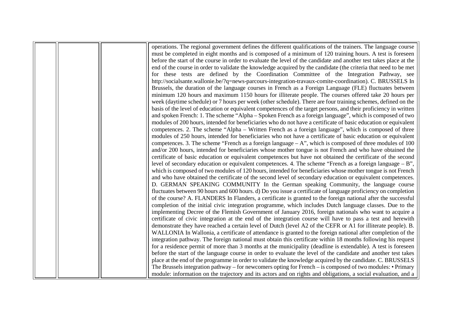|  | operations. The regional government defines the different qualifications of the trainers. The language course      |
|--|--------------------------------------------------------------------------------------------------------------------|
|  | must be completed in eight months and is composed of a minimum of 120 training hours. A test is foreseen           |
|  | before the start of the course in order to evaluate the level of the candidate and another test takes place at the |
|  | end of the course in order to validate the knowledge acquired by the candidate (the criteria that need to be met   |
|  | for these tests are defined by the Coordination Committee of the Integration Pathway, see                          |
|  | http://socialsante.wallonie.be/?q=news-parcours-integration-travaux-comite-coordination). C. BRUSSELS In           |
|  | Brussels, the duration of the language courses in French as a Foreign Language (FLE) fluctuates between            |
|  | minimum 120 hours and maximum 1150 hours for illiterate people. The courses offered take 20 hours per              |
|  | week (daytime schedule) or 7 hours per week (other schedule). There are four training schemes, defined on the      |
|  | basis of the level of education or equivalent competences of the target persons, and their proficiency in written  |
|  | and spoken French: 1. The scheme "Alpha – Spoken French as a foreign language", which is composed of two           |
|  | modules of 200 hours, intended for beneficiaries who do not have a certificate of basic education or equivalent    |
|  | competences. 2. The scheme "Alpha - Written French as a foreign language", which is composed of three              |
|  | modules of 250 hours, intended for beneficiaries who not have a certificate of basic education or equivalent       |
|  | competences. 3. The scheme "French as a foreign language $-A$ ", which is composed of three modules of 100         |
|  | and/or 200 hours, intended for beneficiaries whose mother tongue is not French and who have obtained the           |
|  | certificate of basic education or equivalent competences but have not obtained the certificate of the second       |
|  | level of secondary education or equivalent competences. 4. The scheme "French as a foreign language $- B$ ",       |
|  | which is composed of two modules of 120 hours, intended for beneficiaries whose mother tongue is not French        |
|  | and who have obtained the certificate of the second level of secondary education or equivalent competences.        |
|  | D. GERMAN SPEAKING COMMUNITY In the German speaking Community, the language course                                 |
|  | fluctuates between 90 hours and 600 hours. d) Do you issue a certificate of language proficiency on completion     |
|  | of the course? A. FLANDERS In Flanders, a certificate is granted to the foreign national after the successful      |
|  | completion of the initial civic integration programme, which includes Dutch language classes. Due to the           |
|  | implementing Decree of the Flemish Government of January 2016, foreign nationals who want to acquire a             |
|  | certificate of civic integration at the end of the integration course will have to pass a test and herewith        |
|  | demonstrate they have reached a certain level of Dutch (level A2 of the CEFR or A1 for illiterate people). B.      |
|  | WALLONIA In Wallonia, a certificate of attendance is granted to the foreign national after completion of the       |
|  | integration pathway. The foreign national must obtain this certificate within 18 months following his request      |
|  | for a residence permit of more than 3 months at the municipality (deadline is extendable). A test is foreseen      |
|  | before the start of the language course in order to evaluate the level of the candidate and another test takes     |
|  | place at the end of the programme in order to validate the knowledge acquired by the candidate. C. BRUSSELS        |
|  | The Brussels integration pathway – for newcomers opting for French – is composed of two modules: • Primary         |
|  | module: information on the trajectory and its actors and on rights and obligations, a social evaluation, and a     |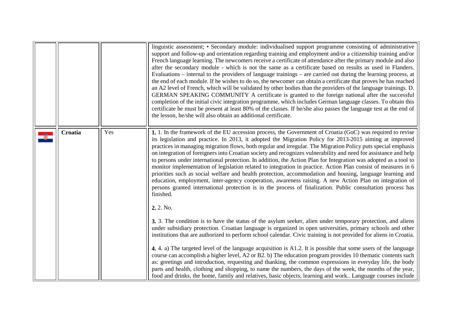|         |     | linguistic assessment; • Secondary module: individualised support programme consisting of administrative<br>support and follow-up and orientation regarding training and employment and/or a citizenship training and/or<br>French language learning. The newcomers receive a certificate of attendance after the primary module and also<br>after the secondary module - which is not the same as a certificate based on results as used in Flanders.<br>Evaluations – internal to the providers of language trainings – are carried out during the learning process, at<br>the end of each module. If he wishes to do so, the newcomer can obtain a certificate that proves he has reached<br>an A2 level of French, which will be validated by other bodies than the providers of the language trainings. D.<br>GERMAN SPEAKING COMMUNITY A certificate is granted to the foreign national after the successful<br>completion of the initial civic integration programme, which includes German language classes. To obtain this<br>certificate he must be present at least 80% of the classes. If he/she also passes the language test at the end of<br>the lesson, he/she will also obtain an additional certificate. |
|---------|-----|----------------------------------------------------------------------------------------------------------------------------------------------------------------------------------------------------------------------------------------------------------------------------------------------------------------------------------------------------------------------------------------------------------------------------------------------------------------------------------------------------------------------------------------------------------------------------------------------------------------------------------------------------------------------------------------------------------------------------------------------------------------------------------------------------------------------------------------------------------------------------------------------------------------------------------------------------------------------------------------------------------------------------------------------------------------------------------------------------------------------------------------------------------------------------------------------------------------------------|
| Croatia | Yes | 1. 1. In the framework of the EU accession process, the Government of Croatia (GoC) was required to revise<br>its legislation and practice. In 2013, it adopted the Migration Policy for 2013-2015 aiming at improved<br>practices in managing migration flows, both regular and irregular. The Migration Policy puts special emphasis<br>on integration of foreigners into Croatian society and recognizes vulnerability and need for assistance and help<br>to persons under international protection. In addition, the Action Plan for Integration was adopted as a tool to<br>monitor implementation of legislation related to integration in practice. Action Plan consist of measures in 6<br>priorities such as social welfare and health protection, accommodation and housing, language learning and<br>education, employment, inter-agency cooperation, awareness raising. A new Action Plan on integration of<br>persons granted international protection is in the process of finalization. Public consultation process has<br>finished.<br>2.2. No.                                                                                                                                                           |
|         |     | 3. 3. The condition is to have the status of the asylum seeker, alien under temporary protection, and aliens<br>under subsidiary protection. Croatian language is organized in open universities, primary schools and other<br>institutions that are authorized to perform school calendar. Civic training is not provided for aliens in Croatia.<br>4.4. a) The targeted level of the language acquisition is A1.2. It is possible that some users of the language<br>course can accomplish a higher level, A2 or B2. b) The education program provides 10 thematic contents such<br>as: greetings and introduction, requesting and thanking, the common expressions in everyday life, the body<br>parts and health, clothing and shopping, to name the numbers, the days of the week, the months of the year,<br>food and drinks, the home, family and relatives, basic objects, learning and work Language courses include                                                                                                                                                                                                                                                                                              |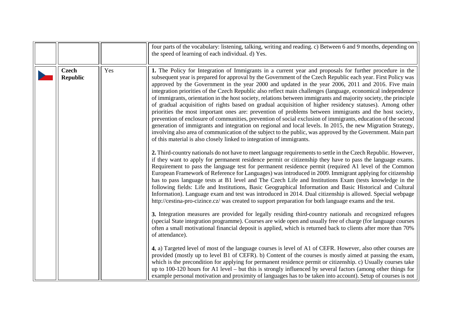<span id="page-10-0"></span>

|                                 |     | four parts of the vocabulary: listening, talking, writing and reading. c) Between 6 and 9 months, depending on<br>the speed of learning of each individual. d) Yes.                                                                                                                                                                                                                                                                                                                                                                                                                                                                                                                                                                                                                                                                                                                                                                                                                                                                                                                                                                                                                                                                                                                                                                                                                                                                               |
|---------------------------------|-----|---------------------------------------------------------------------------------------------------------------------------------------------------------------------------------------------------------------------------------------------------------------------------------------------------------------------------------------------------------------------------------------------------------------------------------------------------------------------------------------------------------------------------------------------------------------------------------------------------------------------------------------------------------------------------------------------------------------------------------------------------------------------------------------------------------------------------------------------------------------------------------------------------------------------------------------------------------------------------------------------------------------------------------------------------------------------------------------------------------------------------------------------------------------------------------------------------------------------------------------------------------------------------------------------------------------------------------------------------------------------------------------------------------------------------------------------------|
| <b>Czech</b><br><b>Republic</b> | Yes | 1. The Policy for Integration of Immigrants in a current year and proposals for further procedure in the<br>subsequent year is prepared for approval by the Government of the Czech Republic each year. First Policy was<br>approved by the Government in the year 2000 and updated in the year 2006, 2011 and 2016. Five main<br>integration priorities of the Czech Republic also reflect main challenges (language, economical independence<br>of immigrants, orientation in the host society, relations between immigrants and majority society, the principle<br>of gradual acquisition of rights based on gradual acquisition of higher residency statuses). Among other<br>priorities the most important ones are: prevention of problems between immigrants and the host society,<br>prevention of enclosure of communities, prevention of social exclusion of immigrants, education of the second<br>generation of immigrants and integration on regional and local levels. In 2015, the new Migration Strategy,<br>involving also area of communication of the subject to the public, was approved by the Government. Main part<br>of this material is also closely linked to integration of immigrants.<br>2. Third-country nationals do not have to meet language requirements to settle in the Czech Republic. However,<br>if they want to apply for permanent residence permit or citizenship they have to pass the language exams. |
|                                 |     | Requirement to pass the language test for permanent residence permit (required A1 level of the Common<br>European Framework of Reference for Languages) was introduced in 2009. Immigrant applying for citizenship<br>has to pass language tests at B1 level and The Czech Life and Institutions Exam (tests knowledge in the<br>following fields: Life and Institutions, Basic Geographical Information and Basic Historical and Cultural<br>Information). Language exam and test was introduced in 2014. Dual citizenship is allowed. Special webpage<br>http://cestina-pro-cizince.cz/ was created to support preparation for both language exams and the test.                                                                                                                                                                                                                                                                                                                                                                                                                                                                                                                                                                                                                                                                                                                                                                                |
|                                 |     | 3. Integration measures are provided for legally residing third-country nationals and recognized refugees<br>(special State integration programme). Courses are wide open and usually free of charge (for language courses<br>often a small motivational financial deposit is applied, which is returned back to clients after more than 70%<br>of attendance).                                                                                                                                                                                                                                                                                                                                                                                                                                                                                                                                                                                                                                                                                                                                                                                                                                                                                                                                                                                                                                                                                   |
|                                 |     | 4. a) Targeted level of most of the language courses is level of A1 of CEFR. However, also other courses are<br>provided (mostly up to level B1 of CEFR). b) Content of the courses is mostly aimed at passing the exam,<br>which is the precondition for applying for permanent residence permit or citizenship. c) Usually courses take<br>up to 100-120 hours for A1 level – but this is strongly influenced by several factors (among other things for<br>example personal motivation and proximity of languages has to be taken into account). Setup of courses is not                                                                                                                                                                                                                                                                                                                                                                                                                                                                                                                                                                                                                                                                                                                                                                                                                                                                       |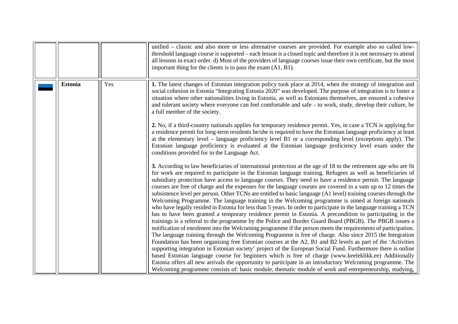|                |     | unified – classic and also more or less alternative courses are provided. For example also so called low-<br>threshold language course is supported – each lesson is a closed topic and therefore it is not necessary to attend<br>all lessons in exact order. d) Most of the providers of language courses issue their own certificate, but the most<br>important thing for the clients is to pass the exam $(A1, B1)$ .                                                                                                                                                                                                                                                                                                                                                                                                                                                                                                                                                                                                                                                                                                                                                                                                                                                                                                                                                                                                                                                                                                                                                                                                                                                                                                                                                                                                                                                         |
|----------------|-----|-----------------------------------------------------------------------------------------------------------------------------------------------------------------------------------------------------------------------------------------------------------------------------------------------------------------------------------------------------------------------------------------------------------------------------------------------------------------------------------------------------------------------------------------------------------------------------------------------------------------------------------------------------------------------------------------------------------------------------------------------------------------------------------------------------------------------------------------------------------------------------------------------------------------------------------------------------------------------------------------------------------------------------------------------------------------------------------------------------------------------------------------------------------------------------------------------------------------------------------------------------------------------------------------------------------------------------------------------------------------------------------------------------------------------------------------------------------------------------------------------------------------------------------------------------------------------------------------------------------------------------------------------------------------------------------------------------------------------------------------------------------------------------------------------------------------------------------------------------------------------------------|
| <b>Estonia</b> | Yes | 1. The latest changes of Estonian integration policy took place at 2014, when the strategy of integration and<br>social cohesion in Estonia "Integrating Estonia 2020" was developed. The purpose of integration is to foster a<br>situation where other nationalities living in Estonia, as well as Estonians themselves, are ensured a cohesive<br>and tolerant society where everyone can feel comfortable and safe – to work, study, develop their culture, be<br>a full member of the society.<br>2. No, if a third-country nationals applies for temporary residence permit. Yes, in case a TCN is applying for<br>a residence permit for long-term residents he/she is required to have the Estonian language proficiency at least<br>at the elementary level – language proficiency level B1 or a corresponding level (exceptions apply). The<br>Estonian language proficiency is evaluated at the Estonian language proficiency level exam under the                                                                                                                                                                                                                                                                                                                                                                                                                                                                                                                                                                                                                                                                                                                                                                                                                                                                                                                     |
|                |     | conditions provided for in the Language Act.<br>3. According to law beneficiaries of international protection at the age of 18 to the retirement age who are fit<br>for work are required to participate in the Estonian language training. Refugees as well as beneficiaries of<br>subsidiary protection have access to language courses. They need to have a residence permit. The language<br>courses are free of charge and the expenses for the language courses are covered in a sum up to 12 times the<br>subsistence level per person. Other TCNs are entitled to basic language (A1 level) training courses through the<br>Welcoming Programme. The language training in the Welcoming programme is aimed at foreign nationals<br>who have legally resided in Estonia for less than 5 years. In order to participate in the language training a TCN<br>has to have been granted a temporary residence permit in Estonia. A precondition to participating in the<br>trainings is a referral to the programme by the Police and Border Guard Board (PBGB). The PBGB issues a<br>notification of enrolment into the Welcoming programme if the person meets the requirements of participation.<br>The language training through the Welcoming Programme is free of charge. Also since 2015 the Integration<br>Foundation has been organising free Estonian courses at the A2, B1 and B2 levels as part of the 'Activities'<br>supporting integration in Estonian society' project of the European Social Fund. Furthermore there is online<br>based Estonian language course for beginners which is free of charge (www.keeleklikk.ee) Additionally<br>Estonia offers all new arrivals the opportunity to participate in an introductory Welcoming programme. The<br>Welcoming programme consists of: basic module, thematic module of work and entrepreneurship, studying, |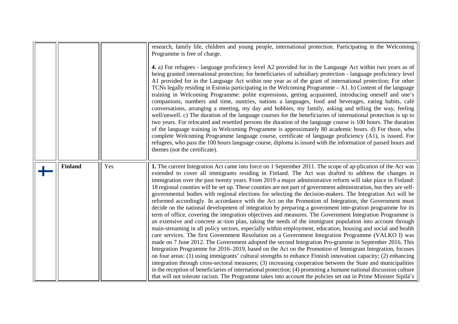<span id="page-12-0"></span>

|                |     | research, family life, children and young people, international protection. Participating in the Welcoming<br>Programme is free of charge.<br>4. a) For refugees - language proficiency level A2 provided for in the Language Act within two years as of<br>being granted international protection; for beneficiaries of subsidiary protection - language proficiency level<br>A1 provided for in the Language Act within one year as of the grant of international protection; For other<br>TCNs legally residing in Estonia participating in the Welcoming Programme - A1. b) Content of the language<br>training in Welcoming Programme: polite expressions, getting acquainted, introducing oneself and one's<br>companions, numbers and time, ountries, nations a languages, food and beverages, eating habits, café<br>conversations, arranging a meeting, my day and hobbies, my family, asking and telling the way, feeling<br>well/unwell. c) The duration of the language courses for the beneficiaries of international protection is up to<br>two years. For relocated and resettled persons the duration of the language course is 100 hours. The duration<br>of the language training in Welcoming Programme is approximately 80 academic hours. d) For those, who<br>complete Welcoming Programme language course, certificate of language proficiency (A1), is issued. For<br>refugees, who pass the 100 hours language course, diploma is issued with the information of passed hours and                                                                                                                                                                                                                                                                                                                                                                                                                                 |
|----------------|-----|--------------------------------------------------------------------------------------------------------------------------------------------------------------------------------------------------------------------------------------------------------------------------------------------------------------------------------------------------------------------------------------------------------------------------------------------------------------------------------------------------------------------------------------------------------------------------------------------------------------------------------------------------------------------------------------------------------------------------------------------------------------------------------------------------------------------------------------------------------------------------------------------------------------------------------------------------------------------------------------------------------------------------------------------------------------------------------------------------------------------------------------------------------------------------------------------------------------------------------------------------------------------------------------------------------------------------------------------------------------------------------------------------------------------------------------------------------------------------------------------------------------------------------------------------------------------------------------------------------------------------------------------------------------------------------------------------------------------------------------------------------------------------------------------------------------------------------------------------------------------------------------------------------------------------------------------|
|                |     | themes (not the certificate).                                                                                                                                                                                                                                                                                                                                                                                                                                                                                                                                                                                                                                                                                                                                                                                                                                                                                                                                                                                                                                                                                                                                                                                                                                                                                                                                                                                                                                                                                                                                                                                                                                                                                                                                                                                                                                                                                                              |
| <b>Finland</b> | Yes | 1. The current Integration Act came into force on 1 September 2011. The scope of ap-plication of the Act was<br>extended to cover all immigrants residing in Finland. The Act was drafted to address the changes in<br>immigration over the past twenty years. From 2019 a major administrative reform will take place in Finland:<br>18 regional counties will be set up. These counties are not part of government administration, but they are self-<br>governmental bodies with regional elections for selecting the decision-makers. The Integration Act will be<br>reformed accordingly. In accordance with the Act on the Promotion of Integration, the Government must<br>decide on the national development of integration by preparing a government inte-gration programme for its<br>term of office, covering the integration objectives and measures. The Government Integration Programme is<br>an extensive and concrete ac-tion plan, taking the needs of the immigrant population into account through<br>main-streaming in all policy sectors, especially within employment, education, housing and social and health<br>care services. The first Government Resolution on a Government Integration Programme (VALKO I) was<br>made on 7 June 2012. The Government adopted the second Integration Pro-gramme in September 2016. This<br>Integration Programme for 2016-2019, based on the Act on the Promotion of Immigrant Integration, focuses<br>on four areas: (1) using immigrants' cultural strengths to enhance Finnish innovation capacity; (2) enhancing<br>integration through cross-sectoral measures; (3) increasing cooperation between the State and municipalities<br>in the reception of beneficiaries of international protection; (4) promoting a humane national discussion culture<br>that will not tolerate racism. The Programme takes into account the policies set out in Prime Minister Sipilä's |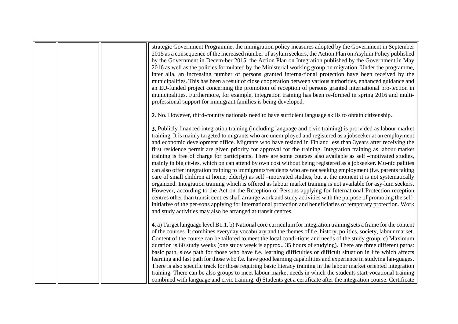|  | strategic Government Programme, the immigration policy measures adopted by the Government in September<br>2015 as a consequence of the increased number of asylum seekers, the Action Plan on Asylum Policy published<br>by the Government in Decem-ber 2015, the Action Plan on Integration published by the Government in May<br>2016 as well as the policies formulated by the Ministerial working group on migration. Under the programme,<br>inter alia, an increasing number of persons granted interna-tional protection have been received by the<br>municipalities. This has been a result of close cooperation between various authorities, enhanced guidance and<br>an EU-funded project concerning the promotion of reception of persons granted international pro-tection in<br>municipalities. Furthermore, for example, integration training has been re-formed in spring 2016 and multi-<br>professional support for immigrant families is being developed.                                                                                                                                                                                                                                                                                                                                                                                                                                                                                                              |
|--|------------------------------------------------------------------------------------------------------------------------------------------------------------------------------------------------------------------------------------------------------------------------------------------------------------------------------------------------------------------------------------------------------------------------------------------------------------------------------------------------------------------------------------------------------------------------------------------------------------------------------------------------------------------------------------------------------------------------------------------------------------------------------------------------------------------------------------------------------------------------------------------------------------------------------------------------------------------------------------------------------------------------------------------------------------------------------------------------------------------------------------------------------------------------------------------------------------------------------------------------------------------------------------------------------------------------------------------------------------------------------------------------------------------------------------------------------------------------------------------|
|  | 2. No. However, third-country nationals need to have sufficient language skills to obtain citizenship.                                                                                                                                                                                                                                                                                                                                                                                                                                                                                                                                                                                                                                                                                                                                                                                                                                                                                                                                                                                                                                                                                                                                                                                                                                                                                                                                                                                   |
|  | 3. Publicly financed integration training (including language and civic training) is pro-vided as labour market<br>training. It is mainly targeted to migrants who are unem-ployed and registered as a jobseeker at an employment<br>and economic development office. Migrants who have resided in Finland less than 3years after receiving the<br>first residence permit are given priority for approval for the training. Integration training as labour market<br>training is free of charge for participants. There are some courses also available as self -motivated studies,<br>mainly in big cit-ies, which on can attend by own cost without being registered as a jobseeker. Mu-nicipalities<br>can also offer integration training to immigrants/residents who are not seeking employment (f.e. parents taking<br>care of small children at home, elderly) as self –motivated studies, but at the moment it is not systematically<br>organized. Integration training which is offered as labour market training is not available for asy-lum seekers.<br>However, according to the Act on the Reception of Persons applying for International Protection reception<br>centres other than transit centres shall arrange work and study activities with the purpose of promoting the self-<br>initiative of the per-sons applying for international protection and beneficiaries of temporary protection. Work<br>and study activities may also be arranged at transit centres. |
|  | 4. a) Target language level B1.1. b) National core curriculum for integration training sets a frame for the content<br>of the courses. It combines everyday vocabulary and the themes of f.e. history, politics, society, labour market.<br>Content of the course can be tailored to meet the local condi-tions and needs of the study group. c) Maximum<br>duration is 60 study weeks (one study week is approx 35 hours of studying). There are three different paths:<br>basic path, slow path for those who have f.e. learning difficulties or difficult situation in life which affects                                                                                                                                                                                                                                                                                                                                                                                                                                                                                                                                                                                                                                                                                                                                                                                                                                                                                             |
|  | learning and fast path for those who f.e. have good learning capabilities and experience in studying lan-guages.<br>There is also specific track for those requiring basic literacy training in the labour market oriented integration<br>training. There can be also groups to meet labour market needs in which the students start vocational training<br>combined with language and civic training. d) Students get a certificate after the integration course. Certificate                                                                                                                                                                                                                                                                                                                                                                                                                                                                                                                                                                                                                                                                                                                                                                                                                                                                                                                                                                                                           |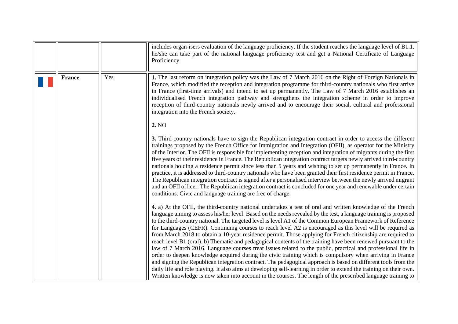<span id="page-14-0"></span>

|               |     | includes organ-isers evaluation of the language proficiency. If the student reaches the language level of B1.1.<br>he/she can take part of the national language proficiency test and get a National Certificate of Language<br>Proficiency.                                                                                                                                                                                                                                                                                                                                                                                                                                                                                                                                                                                                                                                                                                                                                                                                                                                                                                                                                                                                                                        |
|---------------|-----|-------------------------------------------------------------------------------------------------------------------------------------------------------------------------------------------------------------------------------------------------------------------------------------------------------------------------------------------------------------------------------------------------------------------------------------------------------------------------------------------------------------------------------------------------------------------------------------------------------------------------------------------------------------------------------------------------------------------------------------------------------------------------------------------------------------------------------------------------------------------------------------------------------------------------------------------------------------------------------------------------------------------------------------------------------------------------------------------------------------------------------------------------------------------------------------------------------------------------------------------------------------------------------------|
| <b>France</b> | Yes | 1. The last reform on integration policy was the Law of 7 March 2016 on the Right of Foreign Nationals in<br>France, which modified the reception and integration programme for third-country nationals who first arrive<br>in France (first-time arrivals) and intend to set up permanently. The Law of 7 March 2016 establishes an<br>individualised French integration pathway and strengthens the integration scheme in order to improve<br>reception of third-country nationals newly arrived and to encourage their social, cultural and professional<br>integration into the French society.                                                                                                                                                                                                                                                                                                                                                                                                                                                                                                                                                                                                                                                                                 |
|               |     | 2. NO<br>3. Third-country nationals have to sign the Republican integration contract in order to access the different<br>trainings proposed by the French Office for Immigration and Integration (OFII), as operator for the Ministry<br>of the Interior. The OFII is responsible for implementing reception and integration of migrants during the first<br>five years of their residence in France. The Republican integration contract targets newly arrived third-country<br>nationals holding a residence permit since less than 5 years and wishing to set up permanently in France. In<br>practice, it is addressed to third-country nationals who have been granted their first residence permit in France.<br>The Republican integration contract is signed after a personalised interview between the newly arrived migrant<br>and an OFII officer. The Republican integration contract is concluded for one year and renewable under certain<br>conditions. Civic and language training are free of charge.                                                                                                                                                                                                                                                              |
|               |     | 4. a) At the OFII, the third-country national undertakes a test of oral and written knowledge of the French<br>language aiming to assess his/her level. Based on the needs revealed by the test, a language training is proposed<br>to the third-country national. The targeted level is level A1 of the Common European Framework of Reference<br>for Languages (CEFR). Continuing courses to reach level A2 is encouraged as this level will be required as<br>from March 2018 to obtain a 10-year residence permit. Those applying for French citizenship are required to<br>reach level B1 (oral). b) Thematic and pedagogical contents of the training have been renewed pursuant to the<br>law of 7 March 2016. Language courses treat issues related to the public, practical and professional life in<br>order to deepen knowledge acquired during the civic training which is compulsory when arriving in France<br>and signing the Republican integration contract. The pedagogical approach is based on different tools from the<br>daily life and role playing. It also aims at developing self-learning in order to extend the training on their own.<br>Written knowledge is now taken into account in the courses. The length of the prescribed language training to |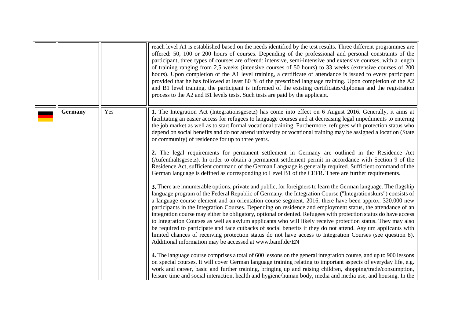|                |     | reach level A1 is established based on the needs identified by the test results. Three different programmes are<br>offered: 50, 100 or 200 hours of courses. Depending of the professional and personal constraints of the<br>participant, three types of courses are offered: intensive, semi-intensive and extensive courses, with a length<br>of training ranging from 2,5 weeks (intensive courses of 50 hours) to 33 weeks (extensive courses of 200<br>hours). Upon completion of the A1 level training, a certificate of attendance is issued to every participant<br>provided that he has followed at least 80 % of the prescribed language training. Upon completion of the A2<br>and B1 level training, the participant is informed of the existing certificates/diplomas and the registration<br>process to the A2 and B1 levels tests. Such tests are paid by the applicant.                                                                                                                                                                                                                                                                                                                                                                                                                                                                                                                                                                    |
|----------------|-----|-------------------------------------------------------------------------------------------------------------------------------------------------------------------------------------------------------------------------------------------------------------------------------------------------------------------------------------------------------------------------------------------------------------------------------------------------------------------------------------------------------------------------------------------------------------------------------------------------------------------------------------------------------------------------------------------------------------------------------------------------------------------------------------------------------------------------------------------------------------------------------------------------------------------------------------------------------------------------------------------------------------------------------------------------------------------------------------------------------------------------------------------------------------------------------------------------------------------------------------------------------------------------------------------------------------------------------------------------------------------------------------------------------------------------------------------------------------|
| <b>Germany</b> | Yes | 1. The Integration Act (Integrationsgesetz) has come into effect on 6 August 2016. Generally, it aims at<br>facilitating an easier access for refugees to language courses and at decreasing legal impediments to entering<br>the job market as well as to start formal vocational training. Furthermore, refugees with protection status who<br>depend on social benefits and do not attend university or vocational training may be assigned a location (State<br>or community) of residence for up to three years.<br>2. The legal requirements for permanent settlement in Germany are outlined in the Residence Act<br>(Aufenthaltsgesetz). In order to obtain a permanent settlement permit in accordance with Section 9 of the<br>Residence Act, sufficient command of the German Language is generally required. Sufficient command of the<br>German language is defined as corresponding to Level B1 of the CEFR. There are further requirements.                                                                                                                                                                                                                                                                                                                                                                                                                                                                                                  |
|                |     | 3. There are innumerable options, private and public, for foreigners to learn the German language. The flagship<br>language program of the Federal Republic of Germany, the Integration Course ("Integrationskurs") consists of<br>a language course element and an orientation course segment. 2016, there have been approx. 320.000 new<br>participants in the Integration Courses. Depending on residence and employment status, the attendance of an<br>integration course may either be obligatory, optional or denied. Refugees with protection status do have access<br>to Integration Courses as well as asylum applicants who will likely receive protection status. They may also<br>be required to participate and face cutbacks of social benefits if they do not attend. Asylum applicants with<br>limited chances of receiving protection status do not have access to Integration Courses (see question 8).<br>Additional information may be accessed at www.bamf.de/EN<br>4. The language course comprises a total of 600 lessons on the general integration course, and up to 900 lessons<br>on special courses. It will cover German language training relating to important aspects of everyday life, e.g.<br>work and career, basic and further training, bringing up and raising children, shopping/trade/consumption,<br>leisure time and social interaction, health and hygiene/human body, media and media use, and housing. In the |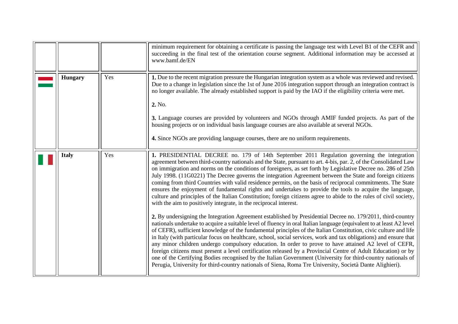<span id="page-16-1"></span><span id="page-16-0"></span>

|                |     | minimum requirement for obtaining a certificate is passing the language test with Level B1 of the CEFR and<br>succeeding in the final test of the orientation course segment. Additional information may be accessed at<br>www.bamf.de/EN                                                                                                                                                                                                                                                                                                                                                                                                                                                                                                                                                                                                                                                                                                                                                                                                                                                                                                                                                                                                                                                                                                                                                                                                                                                                                                                                                                                                                                                                                                                                                              |
|----------------|-----|--------------------------------------------------------------------------------------------------------------------------------------------------------------------------------------------------------------------------------------------------------------------------------------------------------------------------------------------------------------------------------------------------------------------------------------------------------------------------------------------------------------------------------------------------------------------------------------------------------------------------------------------------------------------------------------------------------------------------------------------------------------------------------------------------------------------------------------------------------------------------------------------------------------------------------------------------------------------------------------------------------------------------------------------------------------------------------------------------------------------------------------------------------------------------------------------------------------------------------------------------------------------------------------------------------------------------------------------------------------------------------------------------------------------------------------------------------------------------------------------------------------------------------------------------------------------------------------------------------------------------------------------------------------------------------------------------------------------------------------------------------------------------------------------------------|
| <b>Hungary</b> | Yes | 1. Due to the recent migration pressure the Hungarian integration system as a whole was reviewed and revised.<br>Due to a change in legislation since the 1st of June 2016 integration support through an integration contract is<br>no longer available. The already established support is paid by the IAO if the eligibility criteria were met.<br>2. No.<br>3. Language courses are provided by volunteers and NGOs through AMIF funded projects. As part of the<br>housing projects or on individual basis language courses are also available at several NGOs.<br>4. Since NGOs are providing language courses, there are no uniform requirements.                                                                                                                                                                                                                                                                                                                                                                                                                                                                                                                                                                                                                                                                                                                                                                                                                                                                                                                                                                                                                                                                                                                                               |
| <b>Italy</b>   | Yes | 1. PRESIDENTIAL DECREE no. 179 of 14th September 2011 Regulation governing the integration<br>agreement between third-country nationals and the State, pursuant to art. 4-bis, par. 2, of the Consolidated Law<br>on immigration and norms on the conditions of foreigners, as set forth by Legislative Decree no. 286 of 25th<br>July 1998. (11G0221) The Decree governs the integration Agreement between the State and foreign citizens<br>coming from third Countries with valid residence permits, on the basis of reciprocal commitments. The State<br>ensures the enjoyment of fundamental rights and undertakes to provide the tools to acquire the language,<br>culture and principles of the Italian Constitution; foreign citizens agree to abide to the rules of civil society,<br>with the aim to positively integrate, in the reciprocal interest.<br>2. By undersigning the Integration Agreement established by Presidential Decree no. 179/2011, third-country<br>nationals undertake to acquire a suitable level of fluency in oral Italian language (equivalent to at least A2 level<br>of CEFR), sufficient knowledge of the fundamental principles of the Italian Constitution, civic culture and life<br>in Italy (with particular focus on healthcare, school, social services, work and tax obligations) and ensure that<br>any minor children undergo compulsory education. In order to prove to have attained A2 level of CEFR,<br>foreign citizens must present a level certification released by a Provincial Centre of Adult Education) or by<br>one of the Certifying Bodies recognised by the Italian Government (University for third-country nationals of<br>Perugia, University for third-country nationals of Siena, Roma Tre University, Società Dante Alighieri). |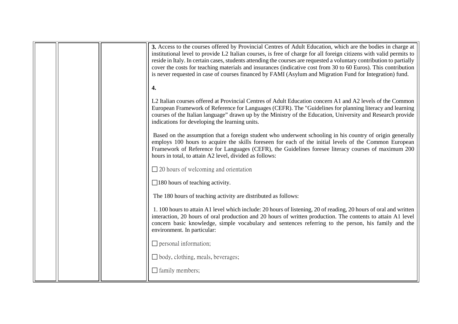|  | 3. Access to the courses offered by Provincial Centres of Adult Education, which are the bodies in charge at<br>institutional level to provide L2 Italian courses, is free of charge for all foreign citizens with valid permits to<br>reside in Italy. In certain cases, students attending the courses are requested a voluntary contribution to partially<br>cover the costs for teaching materials and insurances (indicative cost from 30 to 60 Euros). This contribution<br>is never requested in case of courses financed by FAMI (Asylum and Migration Fund for Integration) fund.<br>4. |
|--|--------------------------------------------------------------------------------------------------------------------------------------------------------------------------------------------------------------------------------------------------------------------------------------------------------------------------------------------------------------------------------------------------------------------------------------------------------------------------------------------------------------------------------------------------------------------------------------------------|
|  | L2 Italian courses offered at Provincial Centres of Adult Education concern A1 and A2 levels of the Common<br>European Framework of Reference for Languages (CEFR). The "Guidelines for planning literacy and learning<br>courses of the Italian language" drawn up by the Ministry of the Education, University and Research provide<br>indications for developing the learning units.                                                                                                                                                                                                          |
|  | Based on the assumption that a foreign student who underwent schooling in his country of origin generally<br>employs 100 hours to acquire the skills foreseen for each of the initial levels of the Common European<br>Framework of Reference for Languages (CEFR), the Guidelines foresee literacy courses of maximum 200<br>hours in total, to attain A2 level, divided as follows:                                                                                                                                                                                                            |
|  | $\Box$ 20 hours of welcoming and orientation                                                                                                                                                                                                                                                                                                                                                                                                                                                                                                                                                     |
|  | $\Box$ 180 hours of teaching activity.                                                                                                                                                                                                                                                                                                                                                                                                                                                                                                                                                           |
|  | The 180 hours of teaching activity are distributed as follows:                                                                                                                                                                                                                                                                                                                                                                                                                                                                                                                                   |
|  | 1.100 hours to attain A1 level which include: 20 hours of listening, 20 of reading, 20 hours of oral and written<br>interaction, 20 hours of oral production and 20 hours of written production. The contents to attain A1 level<br>concern basic knowledge, simple vocabulary and sentences referring to the person, his family and the<br>environment. In particular:                                                                                                                                                                                                                          |
|  | $\Box$ personal information;                                                                                                                                                                                                                                                                                                                                                                                                                                                                                                                                                                     |
|  | $\Box$ body, clothing, meals, beverages;                                                                                                                                                                                                                                                                                                                                                                                                                                                                                                                                                         |
|  | $\Box$ family members;                                                                                                                                                                                                                                                                                                                                                                                                                                                                                                                                                                           |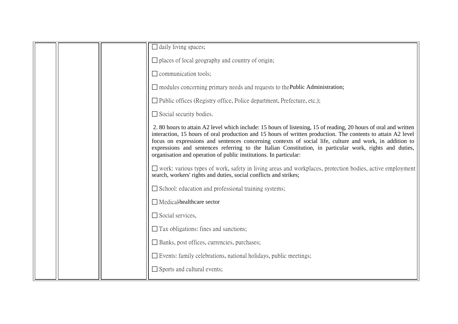|  | $\Box$ daily living spaces;                                                                                                                                                                                                                                                                                                                                                                                                                                                                                                 |
|--|-----------------------------------------------------------------------------------------------------------------------------------------------------------------------------------------------------------------------------------------------------------------------------------------------------------------------------------------------------------------------------------------------------------------------------------------------------------------------------------------------------------------------------|
|  | $\Box$ places of local geography and country of origin;                                                                                                                                                                                                                                                                                                                                                                                                                                                                     |
|  | $\Box$ communication tools;                                                                                                                                                                                                                                                                                                                                                                                                                                                                                                 |
|  | $\Box$ modules concerning primary needs and requests to the <b>Public Administration</b> ;                                                                                                                                                                                                                                                                                                                                                                                                                                  |
|  | $\Box$ Public offices (Registry office, Police department, Prefecture, etc.);                                                                                                                                                                                                                                                                                                                                                                                                                                               |
|  | $\Box$ Social security bodies.                                                                                                                                                                                                                                                                                                                                                                                                                                                                                              |
|  | 2. 80 hours to attain A2 level which include: 15 hours of listening, 15 of reading, 20 hours of oral and written<br>interaction, 15 hours of oral production and 15 hours of written production. The contents to attain A2 level<br>focus on expressions and sentences concerning contexts of social life, culture and work, in addition to<br>expressions and sentences referring to the Italian Constitution, in particular work, rights and duties,<br>organisation and operation of public institutions. In particular: |
|  | $\Box$ work: various types of work, safety in living areas and workplaces, protection bodies, active employment<br>search, workers' rights and duties, social conflicts and strikes;                                                                                                                                                                                                                                                                                                                                        |
|  | $\Box$ School: education and professional training systems;                                                                                                                                                                                                                                                                                                                                                                                                                                                                 |
|  | Medical-healthcare sector                                                                                                                                                                                                                                                                                                                                                                                                                                                                                                   |
|  | $\Box$ Social services,                                                                                                                                                                                                                                                                                                                                                                                                                                                                                                     |
|  | $\Box$ Tax obligations: fines and sanctions;                                                                                                                                                                                                                                                                                                                                                                                                                                                                                |
|  | □ Banks, post offices, currencies, purchases;                                                                                                                                                                                                                                                                                                                                                                                                                                                                               |
|  | $\Box$ Events: family celebrations, national holidays, public meetings;                                                                                                                                                                                                                                                                                                                                                                                                                                                     |
|  | $\Box$ Sports and cultural events;                                                                                                                                                                                                                                                                                                                                                                                                                                                                                          |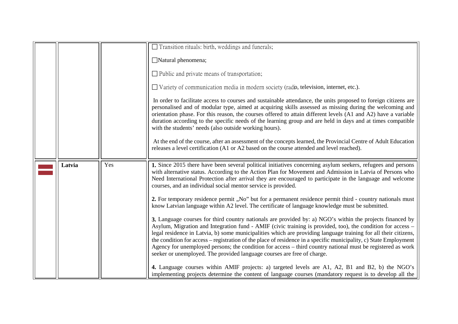<span id="page-19-0"></span>

|        |     | $\Box$ Transition rituals: birth, weddings and funerals;                                                                                                                                                                                                                                                                                                                                                                                                                                                                                                                                                                                                   |
|--------|-----|------------------------------------------------------------------------------------------------------------------------------------------------------------------------------------------------------------------------------------------------------------------------------------------------------------------------------------------------------------------------------------------------------------------------------------------------------------------------------------------------------------------------------------------------------------------------------------------------------------------------------------------------------------|
|        |     |                                                                                                                                                                                                                                                                                                                                                                                                                                                                                                                                                                                                                                                            |
|        |     | Natural phenomena;                                                                                                                                                                                                                                                                                                                                                                                                                                                                                                                                                                                                                                         |
|        |     | $\Box$ Public and private means of transportation;                                                                                                                                                                                                                                                                                                                                                                                                                                                                                                                                                                                                         |
|        |     | $\Box$ Variety of communication media in modern society (radio, television, internet, etc.).                                                                                                                                                                                                                                                                                                                                                                                                                                                                                                                                                               |
|        |     | In order to facilitate access to courses and sustainable attendance, the units proposed to foreign citizens are<br>personalised and of modular type, aimed at acquiring skills assessed as missing during the welcoming and<br>orientation phase. For this reason, the courses offered to attain different levels (A1 and A2) have a variable<br>duration according to the specific needs of the learning group and are held in days and at times compatible<br>with the students' needs (also outside working hours).                                                                                                                                     |
|        |     | At the end of the course, after an assessment of the concepts learned, the Provincial Centre of Adult Education<br>releases a level certification (A1 or A2 based on the course attended and level reached).                                                                                                                                                                                                                                                                                                                                                                                                                                               |
| Latvia | Yes | 1. Since 2015 there have been several political initiatives concerning asylum seekers, refugees and persons<br>with alternative status. According to the Action Plan for Movement and Admission in Latvia of Persons who<br>Need International Protection after arrival they are encouraged to participate in the language and welcome<br>courses, and an individual social mentor service is provided.                                                                                                                                                                                                                                                    |
|        |     | 2. For temporary residence permit, ,No" but for a permanent residence permit third - country nationals must<br>know Latvian language within A2 level. The certificate of language knowledge must be submitted.                                                                                                                                                                                                                                                                                                                                                                                                                                             |
|        |     | 3. Language courses for third country nationals are provided by: a) NGO's within the projects financed by<br>Asylum, Migration and Integration fund - AMIF (civic training is provided, too), the condition for access -<br>legal residence in Latvia, b) some municipalities which are providing language training for all their citizens,<br>the condition for access – registration of the place of residence in a specific municipality, c) State Employment<br>Agency for unemployed persons; the condition for access – third country national must be registered as work<br>seeker or unemployed. The provided language courses are free of charge. |
|        |     | 4. Language courses within AMIF projects: a) targeted levels are A1, A2, B1 and B2, b) the NGO's                                                                                                                                                                                                                                                                                                                                                                                                                                                                                                                                                           |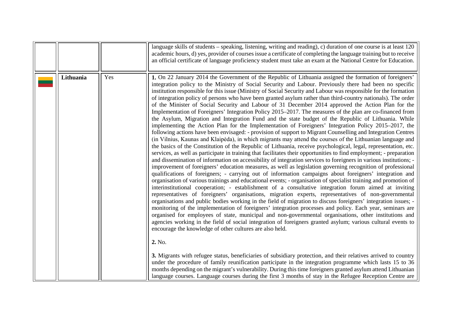<span id="page-20-0"></span>

|           |     | language skills of students – speaking, listening, writing and reading), c) duration of one course is at least $120$<br>academic hours, d) yes, provider of courses issue a certificate of completing the language training but to receive<br>an official certificate of language proficiency student must take an exam at the National Centre for Education.                                                                                                                                                                                                                                                                                                                                                                                                                                                                                                                                                                                                                                                                                                                                                                                                                                                                                                                                                                                                                                                                                                                                                                                                                                                                                                                                                                                                                                                                                                                                                                                                                                                                                                                                                                                                                                                                                                                                                                                                                                                                                                                                                                                                             |
|-----------|-----|---------------------------------------------------------------------------------------------------------------------------------------------------------------------------------------------------------------------------------------------------------------------------------------------------------------------------------------------------------------------------------------------------------------------------------------------------------------------------------------------------------------------------------------------------------------------------------------------------------------------------------------------------------------------------------------------------------------------------------------------------------------------------------------------------------------------------------------------------------------------------------------------------------------------------------------------------------------------------------------------------------------------------------------------------------------------------------------------------------------------------------------------------------------------------------------------------------------------------------------------------------------------------------------------------------------------------------------------------------------------------------------------------------------------------------------------------------------------------------------------------------------------------------------------------------------------------------------------------------------------------------------------------------------------------------------------------------------------------------------------------------------------------------------------------------------------------------------------------------------------------------------------------------------------------------------------------------------------------------------------------------------------------------------------------------------------------------------------------------------------------------------------------------------------------------------------------------------------------------------------------------------------------------------------------------------------------------------------------------------------------------------------------------------------------------------------------------------------------------------------------------------------------------------------------------------------------|
| Lithuania | Yes | 1. On 22 January 2014 the Government of the Republic of Lithuania assigned the formation of foreigners'<br>integration policy to the Ministry of Social Security and Labour. Previously there had been no specific<br>institution responsible for this issue (Ministry of Social Security and Labour was responsible for the formation<br>of integration policy of persons who have been granted asylum rather than third-country nationals). The order<br>of the Minister of Social Security and Labour of 31 December 2014 approved the Action Plan for the<br>Implementation of Foreigners' Integration Policy 2015–2017. The measures of the plan are co-financed from<br>the Asylum, Migration and Integration Fund and the state budget of the Republic of Lithuania. While<br>implementing the Action Plan for the Implementation of Foreigners' Integration Policy 2015–2017, the<br>following actions have been envisaged: - provision of support to Migrant Counselling and Integration Centres<br>(in Vilnius, Kaunas and Klaipėda), in which migrants may attend the courses of the Lithuanian language and<br>the basics of the Constitution of the Republic of Lithuania, receive psychological, legal, representation, etc.<br>services, as well as participate in training that facilitates their opportunities to find employment; - preparation<br>and dissemination of information on accessibility of integration services to foreigners in various institutions;<br>improvement of foreigners' education measures, as well as legislation governing recognition of professional<br>qualifications of foreigners; - carrying out of information campaigns about foreigners' integration and<br>organisation of various trainings and educational events; - organisation of specialist training and promotion of<br>interinstitutional cooperation; - establishment of a consultative integration forum aimed at inviting<br>representatives of foreigners' organisations, migration experts, representatives of non-governmental<br>organisations and public bodies working in the field of migration to discuss foreigners' integration issues; -<br>monitoring of the implementation of foreigners' integration processes and policy. Each year, seminars are<br>organised for employees of state, municipal and non-governmental organisations, other institutions and<br>agencies working in the field of social integration of foreigners granted asylum; various cultural events to<br>encourage the knowledge of other cultures are also held. |
|           |     | 2. No.<br>3. Migrants with refugee status, beneficiaries of subsidiary protection, and their relatives arrived to country<br>under the procedure of family reunification participate in the integration programme which lasts 15 to 36<br>months depending on the migrant's vulnerability. During this time foreigners granted asylum attend Lithuanian<br>language courses. Language courses during the first 3 months of stay in the Refugee Reception Centre are                                                                                                                                                                                                                                                                                                                                                                                                                                                                                                                                                                                                                                                                                                                                                                                                                                                                                                                                                                                                                                                                                                                                                                                                                                                                                                                                                                                                                                                                                                                                                                                                                                                                                                                                                                                                                                                                                                                                                                                                                                                                                                       |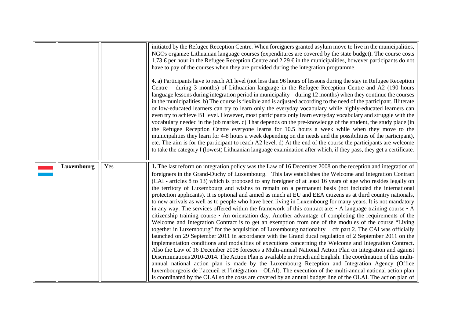|            |     | initiated by the Refugee Reception Centre. When foreigners granted asylum move to live in the municipalities,<br>NGOs organize Lithuanian language courses (expenditures are covered by the state budget). The course costs<br>1.73 € per hour in the Refugee Reception Centre and 2.29 € in the municipalities, however participants do not<br>have to pay of the courses when they are provided during the integration programme.<br>4. a) Participants have to reach A1 level (not less than 96 hours of lessons during the stay in Refugee Reception<br>Centre – during 3 months) of Lithuanian language in the Refugee Reception Centre and A2 (190 hours<br>language lessons during integration period in municipality – during 12 months) when they continue the courses<br>in the municipalities. b) The course is flexible and is adjusted according to the need of the participant. Illiterate<br>or low-educated learners can try to learn only the everyday vocabulary while highly-educated learners can<br>even try to achieve B1 level. However, most participants only learn everyday vocabulary and struggle with the<br>vocabulary needed in the job market. c) That depends on the pre-knowledge of the student, the study place (in<br>the Refugee Reception Centre everyone learns for 10.5 hours a week while when they move to the<br>municipalities they learn for 4-8 hours a week depending on the needs and the possibilities of the participant),<br>etc. The aim is for the participant to reach A2 level. d) At the end of the course the participants are welcome<br>to take the category I (lowest) Lithuanian language examination after which, if they pass, they get a certificate.                                                                                                                                                                                                                     |
|------------|-----|--------------------------------------------------------------------------------------------------------------------------------------------------------------------------------------------------------------------------------------------------------------------------------------------------------------------------------------------------------------------------------------------------------------------------------------------------------------------------------------------------------------------------------------------------------------------------------------------------------------------------------------------------------------------------------------------------------------------------------------------------------------------------------------------------------------------------------------------------------------------------------------------------------------------------------------------------------------------------------------------------------------------------------------------------------------------------------------------------------------------------------------------------------------------------------------------------------------------------------------------------------------------------------------------------------------------------------------------------------------------------------------------------------------------------------------------------------------------------------------------------------------------------------------------------------------------------------------------------------------------------------------------------------------------------------------------------------------------------------------------------------------------------------------------------------------------------------------------------------------------------------------------------------------------------------------------|
| Luxembourg | Yes | 1. The last reform on integration policy was the Law of 16 December 2008 on the reception and integration of<br>foreigners in the Grand-Duchy of Luxembourg. This law establishes the Welcome and Integration Contract<br>(CAI - articles 8 to 13) which is proposed to any foreigner of at least 16 years of age who resides legally on<br>the territory of Luxembourg and wishes to remain on a permanent basis (not included the international<br>protection applicants). It is optional and aimed as much at EU and EEA citizens as at third country nationals,<br>to new arrivals as well as to people who have been living in Luxembourg for many years. It is not mandatory<br>in any way. The services offered within the framework of this contract are: $\cdot$ A language training course $\cdot$ A<br>citizenship training course • An orientation day. Another advantage of completing the requirements of the<br>Welcome and Integration Contract is to get an exemption from one of the modules of the course "Living"<br>together in Luxembourg" for the acquisition of Luxembourg nationality $+$ cfr part 2. The CAI was officially<br>launched on 29 September 2011 in accordance with the Grand ducal regulation of 2 September 2011 on the<br>implementation conditions and modalities of executions concerning the Welcome and Integration Contract.<br>Also the Law of 16 December 2008 foresees a Multi-annual National Action Plan on Integration and against<br>Discriminations 2010-2014. The Action Plan is available in French and English. The coordination of this multi-<br>annual national action plan is made by the Luxembourg Reception and Integration Agency (Office<br>luxembourgeois de l'accueil et l'intégration - OLAI). The execution of the multi-annual national action plan<br>is coordinated by the OLAI so the costs are covered by an annual budget line of the OLAI. The action plan of |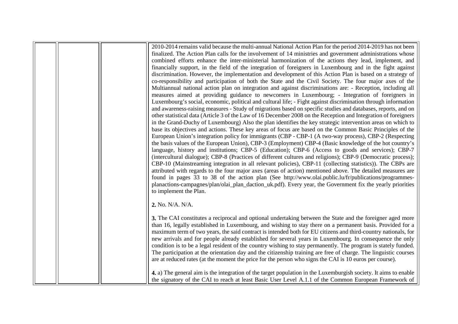|  | 2010-2014 remains valid because the multi-annual National Action Plan for the period 2014-2019 has not been<br>finalized. The Action Plan calls for the involvement of 14 ministries and government administrations whose |
|--|---------------------------------------------------------------------------------------------------------------------------------------------------------------------------------------------------------------------------|
|  | combined efforts enhance the inter-ministerial harmonization of the actions they lead, implement, and                                                                                                                     |
|  | financially support, in the field of the integration of foreigners in Luxembourg and in the fight against                                                                                                                 |
|  | discrimination. However, the implementation and development of this Action Plan is based on a strategy of                                                                                                                 |
|  | co-responsibility and participation of both the State and the Civil Society. The four major axes of the                                                                                                                   |
|  | Multiannual national action plan on integration and against discriminations are: - Reception, including all                                                                                                               |
|  | measures aimed at providing guidance to newcomers in Luxembourg; - Integration of foreigners in<br>Luxembourg's social, economic, political and cultural life; - Fight against discrimination through information         |
|  | and awareness-raising measures - Study of migrations based on specific studies and databases, reports, and on                                                                                                             |
|  | other statistical data (Article 3 of the Law of 16 December 2008 on the Reception and Integration of foreigners                                                                                                           |
|  | in the Grand-Duchy of Luxembourg) Also the plan identifies the key strategic intervention areas on which to                                                                                                               |
|  | base its objectives and actions. These key areas of focus are based on the Common Basic Principles of the                                                                                                                 |
|  | European Union's integration policy for immigrants (CBP - CBP-1 (A two-way process), CBP-2 (Respecting                                                                                                                    |
|  | the basis values of the European Union), CBP-3 (Employment) CBP-4 (Basic knowledge of the hot country's                                                                                                                   |
|  | language, history and institutions; CBP-5 (Education); CBP-6 (Access to goods and services); CBP-7                                                                                                                        |
|  | (intercultural dialogue); CBP-8 (Practices of different cultures and religions); CBP-9 (Democratic process);                                                                                                              |
|  | CBP-10 (Mainstreaming integration in all relevant policies), CBP-11 (collecting statistics)). The CBPs are                                                                                                                |
|  | attributed with regards to the four major axes (areas of action) mentioned above. The detailed measures are                                                                                                               |
|  | found in pages 33 to 38 of the action plan (See http://www.olai.public.lu/fr/publications/programmes-                                                                                                                     |
|  | planactions-campagnes/plan/olai_plan_daction_uk.pdf). Every year, the Government fix the yearly priorities                                                                                                                |
|  | to implement the Plan.                                                                                                                                                                                                    |
|  |                                                                                                                                                                                                                           |
|  | 2. No. N/A. N/A.                                                                                                                                                                                                          |
|  |                                                                                                                                                                                                                           |
|  | 3. The CAI constitutes a reciprocal and optional undertaking between the State and the foreigner aged more                                                                                                                |
|  | than 16, legally established in Luxembourg, and wishing to stay there on a permanent basis. Provided for a                                                                                                                |
|  | maximum term of two years, the said contract is intended both for EU citizens and third-country nationals, for                                                                                                            |
|  | new arrivals and for people already established for several years in Luxembourg. In consequence the only                                                                                                                  |
|  | condition is to be a legal resident of the country wishing to stay permanently. The program is stately funded.                                                                                                            |
|  | The participation at the orientation day and the citizenship training are free of charge. The linguistic courses                                                                                                          |
|  | are at reduced rates (at the moment the price for the person who signs the CAI is 10 euros per course).                                                                                                                   |
|  | 4. a) The general aim is the integration of the target population in the Luxemburgish society. It aims to enable                                                                                                          |
|  | the signatory of the CAI to reach at least Basic User Level A.1.1 of the Common European Framework of                                                                                                                     |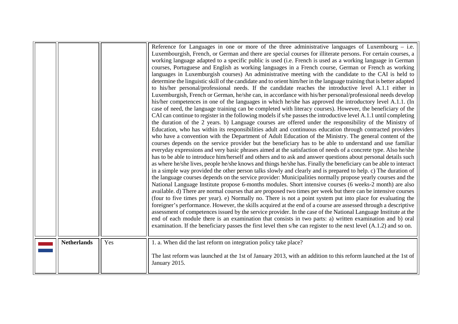<span id="page-23-0"></span>

|                    |     | Reference for Languages in one or more of the three administrative languages of Luxembourg $-$ i.e.<br>Luxembourgish, French, or German and there are special courses for illiterate persons. For certain courses, a<br>working language adapted to a specific public is used (i.e. French is used as a working language in German<br>courses, Portuguese and English as working languages in a French course, German or French as working<br>languages in Luxemburgish courses) An administrative meeting with the candidate to the CAI is held to<br>determine the linguistic skill of the candidate and to orient him/her in the language training that is better adapted<br>to his/her personal/professional needs. If the candidate reaches the introductive level A.1.1 either in<br>Luxemburgish, French or German, he/she can, in accordance with his/her personal/professional needs develop<br>his/her competences in one of the languages in which he/she has approved the introductory level A.1.1. (In<br>case of need, the language training can be completed with literacy courses). However, the beneficiary of the<br>CAI can continue to register in the following models if s/he passes the introductive level A.1.1 until completing<br>the duration of the 2 years. b) Language courses are offered under the responsibility of the Ministry of<br>Education, who has within its responsibilities adult and continuous education through contracted providers<br>who have a convention with the Department of Adult Education of the Ministry. The general content of the<br>courses depends on the service provider but the beneficiary has to be able to understand and use familiar<br>everyday expressions and very basic phrases aimed at the satisfaction of needs of a concrete type. Also he/she<br>has to be able to introduce him/herself and others and to ask and answer questions about personal details such<br>as where he/she lives, people he/she knows and things he/she has. Finally the beneficiary can be able to interact<br>in a simple way provided the other person talks slowly and clearly and is prepared to help. c) The duration of<br>the language courses depends on the service provider: Municipalities normally propose yearly courses and the<br>National Language Institute propose 6-months modules. Short intensive courses (6 weeks-2 month) are also<br>available. d) There are normal courses that are proposed two times per week but there can be intensive courses<br>(four to five times per year). e) Normally no. There is not a point system put into place for evaluating the<br>foreigner's performance. However, the skills acquired at the end of a course are assessed through a descriptive<br>assessment of competences issued by the service provider. In the case of the National Language Institute at the<br>end of each module there is an examination that consists in two parts: a) written examination and b) oral<br>examination. If the beneficiary passes the first level then s/he can register to the next level $(A.1.2)$ and so on. |
|--------------------|-----|---------------------------------------------------------------------------------------------------------------------------------------------------------------------------------------------------------------------------------------------------------------------------------------------------------------------------------------------------------------------------------------------------------------------------------------------------------------------------------------------------------------------------------------------------------------------------------------------------------------------------------------------------------------------------------------------------------------------------------------------------------------------------------------------------------------------------------------------------------------------------------------------------------------------------------------------------------------------------------------------------------------------------------------------------------------------------------------------------------------------------------------------------------------------------------------------------------------------------------------------------------------------------------------------------------------------------------------------------------------------------------------------------------------------------------------------------------------------------------------------------------------------------------------------------------------------------------------------------------------------------------------------------------------------------------------------------------------------------------------------------------------------------------------------------------------------------------------------------------------------------------------------------------------------------------------------------------------------------------------------------------------------------------------------------------------------------------------------------------------------------------------------------------------------------------------------------------------------------------------------------------------------------------------------------------------------------------------------------------------------------------------------------------------------------------------------------------------------------------------------------------------------------------------------------------------------------------------------------------------------------------------------------------------------------------------------------------------------------------------------------------------------------------------------------------------------------------------------------------------------------------------------------------------------------------------------------------------------------------------------------------------------------------------------------------------------------------------------------------------------------------|
| <b>Netherlands</b> | Yes | 1. a. When did the last reform on integration policy take place?<br>The last reform was launched at the 1st of January 2013, with an addition to this reform launched at the 1st of<br>January 2015.                                                                                                                                                                                                                                                                                                                                                                                                                                                                                                                                                                                                                                                                                                                                                                                                                                                                                                                                                                                                                                                                                                                                                                                                                                                                                                                                                                                                                                                                                                                                                                                                                                                                                                                                                                                                                                                                                                                                                                                                                                                                                                                                                                                                                                                                                                                                                                                                                                                                                                                                                                                                                                                                                                                                                                                                                                                                                                                            |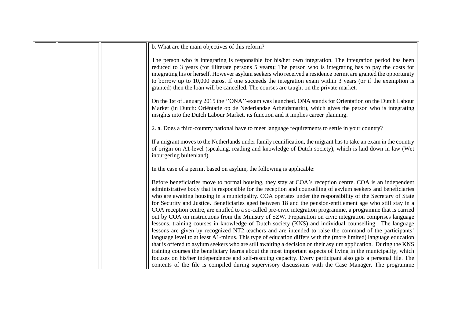|  | b. What are the main objectives of this reform?                                                                                                                                                                                                                                                                                                                                                                                                                                                                                                                                                                                                                                                                                                                                                |
|--|------------------------------------------------------------------------------------------------------------------------------------------------------------------------------------------------------------------------------------------------------------------------------------------------------------------------------------------------------------------------------------------------------------------------------------------------------------------------------------------------------------------------------------------------------------------------------------------------------------------------------------------------------------------------------------------------------------------------------------------------------------------------------------------------|
|  | The person who is integrating is responsible for his/her own integration. The integration period has been<br>reduced to 3 years (for illiterate persons 5 years); The person who is integrating has to pay the costs for<br>integrating his or herself. However asylum seekers who received a residence permit are granted the opportunity<br>to borrow up to 10,000 euros. If one succeeds the integration exam within 3 years (or if the exemption is                                                                                                                                                                                                                                                                                                                                        |
|  | granted) then the loan will be cancelled. The courses are taught on the private market.                                                                                                                                                                                                                                                                                                                                                                                                                                                                                                                                                                                                                                                                                                        |
|  | On the 1st of January 2015 the "ONA"-exam was launched. ONA stands for Orientation on the Dutch Labour<br>Market (in Dutch: Oriëntatie op de Nederlandse Arbeidsmarkt), which gives the person who is integrating<br>insights into the Dutch Labour Market, its function and it implies career planning.                                                                                                                                                                                                                                                                                                                                                                                                                                                                                       |
|  | 2. a. Does a third-country national have to meet language requirements to settle in your country?                                                                                                                                                                                                                                                                                                                                                                                                                                                                                                                                                                                                                                                                                              |
|  | If a migrant moves to the Netherlands under family reunification, the migrant has to take an exam in the country<br>of origin on A1-level (speaking, reading and knowledge of Dutch society), which is laid down in law (Wet<br>inburgering buitenland).                                                                                                                                                                                                                                                                                                                                                                                                                                                                                                                                       |
|  | In the case of a permit based on asylum, the following is applicable:                                                                                                                                                                                                                                                                                                                                                                                                                                                                                                                                                                                                                                                                                                                          |
|  | Before beneficiaries move to normal housing, they stay at COA's reception centre. COA is an independent<br>administrative body that is responsible for the reception and counselling of asylum seekers and beneficiaries<br>who are awaiting housing in a municipality. COA operates under the responsibility of the Secretary of State<br>for Security and Justice. Beneficiaries aged between 18 and the pension-entitlement age who still stay in a<br>COA reception centre, are entitled to a so-called pre-civic integration programme, a programme that is carried<br>out by COA on instructions from the Ministry of SZW. Preparation on civic integration comprises language<br>lessons, training courses in knowledge of Dutch society (KNS) and individual counselling. The language |
|  | lessons are given by recognized NT2 teachers and are intended to raise the command of the participants'<br>language level to at least A1-minus. This type of education differs with the (more limited) language education                                                                                                                                                                                                                                                                                                                                                                                                                                                                                                                                                                      |
|  | that is offered to asylum seekers who are still awaiting a decision on their asylum application. During the KNS                                                                                                                                                                                                                                                                                                                                                                                                                                                                                                                                                                                                                                                                                |
|  | training courses the beneficiary learns about the most important aspects of living in the municipality, which                                                                                                                                                                                                                                                                                                                                                                                                                                                                                                                                                                                                                                                                                  |
|  | focuses on his/her independence and self-rescuing capacity. Every participant also gets a personal file. The                                                                                                                                                                                                                                                                                                                                                                                                                                                                                                                                                                                                                                                                                   |
|  | contents of the file is compiled during supervisory discussions with the Case Manager. The programme                                                                                                                                                                                                                                                                                                                                                                                                                                                                                                                                                                                                                                                                                           |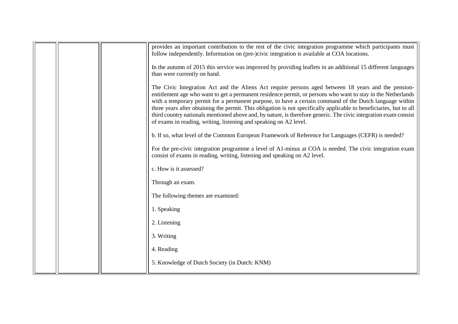|  | provides an important contribution to the rest of the civic integration programme which participants must                                                                                                                                                                                                                                                                                                                                                                                                                                                                                                                                      |
|--|------------------------------------------------------------------------------------------------------------------------------------------------------------------------------------------------------------------------------------------------------------------------------------------------------------------------------------------------------------------------------------------------------------------------------------------------------------------------------------------------------------------------------------------------------------------------------------------------------------------------------------------------|
|  | follow independently. Information on (pre-)civic integration is available at COA locations.                                                                                                                                                                                                                                                                                                                                                                                                                                                                                                                                                    |
|  | In the autumn of 2015 this service was improved by providing leaflets in an additional 15 different languages<br>than were currently on hand.                                                                                                                                                                                                                                                                                                                                                                                                                                                                                                  |
|  | The Civic Integration Act and the Aliens Act require persons aged between 18 years and the pension-<br>entitlement age who want to get a permanent residence permit, or persons who want to stay in the Netherlands<br>with a temporary permit for a permanent purpose, to have a certain command of the Dutch language within<br>three years after obtaining the permit. This obligation is not specifically applicable to beneficiaries, but to all<br>third country nationals mentioned above and, by nature, is therefore generic. The civic integration exam consist<br>of exams in reading, writing, listening and speaking on A2 level. |
|  | b. If so, what level of the Common European Framework of Reference for Languages (CEFR) is needed?                                                                                                                                                                                                                                                                                                                                                                                                                                                                                                                                             |
|  | For the pre-civic integration programme a level of A1-minus at COA is needed. The civic integration exam<br>consist of exams in reading, writing, listening and speaking on A2 level.                                                                                                                                                                                                                                                                                                                                                                                                                                                          |
|  | c. How is it assessed?                                                                                                                                                                                                                                                                                                                                                                                                                                                                                                                                                                                                                         |
|  | Through an exam.                                                                                                                                                                                                                                                                                                                                                                                                                                                                                                                                                                                                                               |
|  | The following themes are examined:                                                                                                                                                                                                                                                                                                                                                                                                                                                                                                                                                                                                             |
|  | 1. Speaking                                                                                                                                                                                                                                                                                                                                                                                                                                                                                                                                                                                                                                    |
|  | 2. Listening                                                                                                                                                                                                                                                                                                                                                                                                                                                                                                                                                                                                                                   |
|  | 3. Writing                                                                                                                                                                                                                                                                                                                                                                                                                                                                                                                                                                                                                                     |
|  | 4. Reading                                                                                                                                                                                                                                                                                                                                                                                                                                                                                                                                                                                                                                     |
|  | 5. Knowledge of Dutch Society (in Dutch: KNM)                                                                                                                                                                                                                                                                                                                                                                                                                                                                                                                                                                                                  |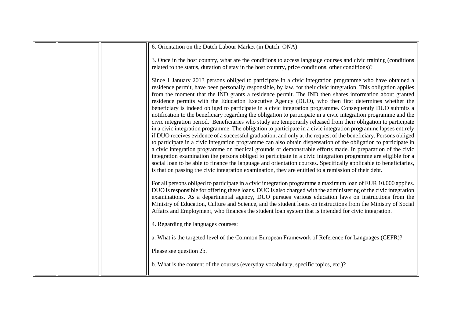| 6. Orientation on the Dutch Labour Market (in Dutch: ONA)                                                                                                                                                                                                                                                                                                                                                                                                                                                                                                                                                                                                                                                                                                                                                                                                                                                                                                                                                                                                                                                                                                                                                                                                                                                                                                                                                                                                                                                                                                                                                                 |
|---------------------------------------------------------------------------------------------------------------------------------------------------------------------------------------------------------------------------------------------------------------------------------------------------------------------------------------------------------------------------------------------------------------------------------------------------------------------------------------------------------------------------------------------------------------------------------------------------------------------------------------------------------------------------------------------------------------------------------------------------------------------------------------------------------------------------------------------------------------------------------------------------------------------------------------------------------------------------------------------------------------------------------------------------------------------------------------------------------------------------------------------------------------------------------------------------------------------------------------------------------------------------------------------------------------------------------------------------------------------------------------------------------------------------------------------------------------------------------------------------------------------------------------------------------------------------------------------------------------------------|
| 3. Once in the host country, what are the conditions to access language courses and civic training (conditions<br>related to the status, duration of stay in the host country, price conditions, other conditions)?                                                                                                                                                                                                                                                                                                                                                                                                                                                                                                                                                                                                                                                                                                                                                                                                                                                                                                                                                                                                                                                                                                                                                                                                                                                                                                                                                                                                       |
| Since 1 January 2013 persons obliged to participate in a civic integration programme who have obtained a<br>residence permit, have been personally responsible, by law, for their civic integration. This obligation applies<br>from the moment that the IND grants a residence permit. The IND then shares information about granted<br>residence permits with the Education Executive Agency (DUO), who then first determines whether the<br>beneficiary is indeed obliged to participate in a civic integration programme. Consequently DUO submits a<br>notification to the beneficiary regarding the obligation to participate in a civic integration programme and the<br>civic integration period. Beneficiaries who study are temporarily released from their obligation to participate<br>in a civic integration programme. The obligation to participate in a civic integration programme lapses entirely<br>if DUO receives evidence of a successful graduation, and only at the request of the beneficiary. Persons obliged<br>to participate in a civic integration programme can also obtain dispensation of the obligation to participate in<br>a civic integration programme on medical grounds or demonstrable efforts made. In preparation of the civic<br>integration examination the persons obliged to participate in a civic integration programme are eligible for a<br>social loan to be able to finance the language and orientation courses. Specifically applicable to beneficiaries,<br>is that on passing the civic integration examination, they are entitled to a remission of their debt. |
| For all persons obliged to participate in a civic integration programme a maximum loan of EUR 10,000 applies.<br>DUO is responsible for offering these loans. DUO is also charged with the administering of the civic integration<br>examinations. As a departmental agency, DUO pursues various education laws on instructions from the<br>Ministry of Education, Culture and Science, and the student loans on instructions from the Ministry of Social<br>Affairs and Employment, who finances the student loan system that is intended for civic integration.<br>4. Regarding the languages courses:                                                                                                                                                                                                                                                                                                                                                                                                                                                                                                                                                                                                                                                                                                                                                                                                                                                                                                                                                                                                                  |
| a. What is the targeted level of the Common European Framework of Reference for Languages (CEFR)?                                                                                                                                                                                                                                                                                                                                                                                                                                                                                                                                                                                                                                                                                                                                                                                                                                                                                                                                                                                                                                                                                                                                                                                                                                                                                                                                                                                                                                                                                                                         |
| Please see question 2b.                                                                                                                                                                                                                                                                                                                                                                                                                                                                                                                                                                                                                                                                                                                                                                                                                                                                                                                                                                                                                                                                                                                                                                                                                                                                                                                                                                                                                                                                                                                                                                                                   |
| b. What is the content of the courses (everyday vocabulary, specific topics, etc.)?                                                                                                                                                                                                                                                                                                                                                                                                                                                                                                                                                                                                                                                                                                                                                                                                                                                                                                                                                                                                                                                                                                                                                                                                                                                                                                                                                                                                                                                                                                                                       |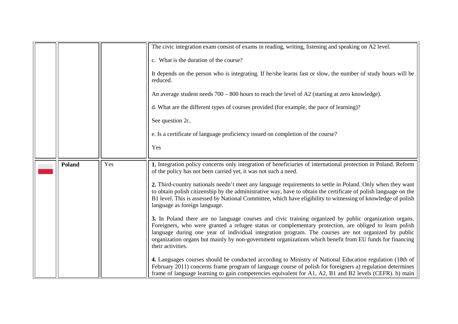|               |     | The civic integration exam consist of exams in reading, writing, listening and speaking on A2 level.                                                                                                                                                                                                                                                                                                                                                     |
|---------------|-----|----------------------------------------------------------------------------------------------------------------------------------------------------------------------------------------------------------------------------------------------------------------------------------------------------------------------------------------------------------------------------------------------------------------------------------------------------------|
|               |     | c. What is the duration of the course?                                                                                                                                                                                                                                                                                                                                                                                                                   |
|               |     | It depends on the person who is integrating. If he/she learns fast or slow, the number of study hours will be<br>reduced.                                                                                                                                                                                                                                                                                                                                |
|               |     | An average student needs $700 - 800$ hours to reach the level of A2 (starting at zero knowledge).                                                                                                                                                                                                                                                                                                                                                        |
|               |     | d. What are the different types of courses provided (for example, the pace of learning)?                                                                                                                                                                                                                                                                                                                                                                 |
|               |     | See question 2c.                                                                                                                                                                                                                                                                                                                                                                                                                                         |
|               |     | e. Is a certificate of language proficiency issued on completion of the course?                                                                                                                                                                                                                                                                                                                                                                          |
|               |     | Yes                                                                                                                                                                                                                                                                                                                                                                                                                                                      |
|               |     |                                                                                                                                                                                                                                                                                                                                                                                                                                                          |
| <b>Poland</b> | Yes | 1. Integration policy concerns only integration of beneficiaries of international protection in Poland. Reform<br>of the policy has not been carried yet, it was not such a need.<br>2. Third-country nationals needn't meet any language requirements to settle in Poland. Only when they want<br>to obtain polish citizenship by the administrative way, have to obtain the certificate of polish language on the                                      |
|               |     | B1 level. This is assessed by National Committee, which have eligibility to witnessing of knowledge of polish<br>language as foreign language.                                                                                                                                                                                                                                                                                                           |
|               |     | 3. In Poland there are no language courses and civic training organized by public organization organs.<br>Foreigners, who were granted a refugee status or complementary protection, are obliged to learn polish<br>language during one year of individual integration program. The courses are not organized by public<br>organization organs but mainly by non-government organizations which benefit from EU funds for financing<br>their activities. |
|               |     | 4. Languages courses should be conducted according to Ministry of National Education regulation (18th of<br>February 2011) concerns frame program of language course of polish for foreigners a) regulation determines<br>frame of language learning to gain competencies equivalent for A1, A2, B1 and B2 levels (CEFR). b) main                                                                                                                        |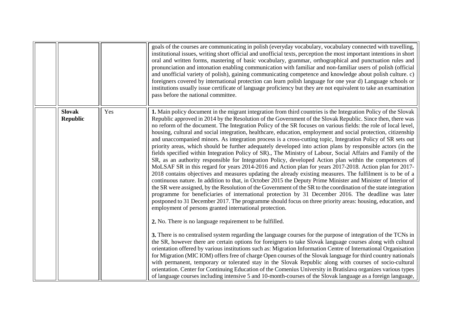<span id="page-28-0"></span>

|                                  |     | goals of the courses are communicating in polish (everyday vocabulary, vocabulary connected with travelling,<br>institutional issues, writing short official and unofficial texts, perception the most important intentions in short<br>oral and written forms, mastering of basic vocabulary, grammar, orthographical and punctuation rules and<br>pronunciation and intonation enabling communication with familiar and non-familiar users of polish (official<br>and unofficial variety of polish), gaining communicating competence and knowledge about polish culture. c)<br>foreigners covered by international protection can learn polish language for one year d) Language schools or<br>institutions usually issue certificate of language proficiency but they are not equivalent to take an examination<br>pass before the national committee.                                                                                                                                                                                                                                                                                                                                                                                                                                                                                                                                                                                                                                                                                                                                                                                                                                                                                                                                                                                                                                                                                                                                                                                                                                                                                                                                                                                                                                                                                                                                                                                                                                                                                                 |
|----------------------------------|-----|------------------------------------------------------------------------------------------------------------------------------------------------------------------------------------------------------------------------------------------------------------------------------------------------------------------------------------------------------------------------------------------------------------------------------------------------------------------------------------------------------------------------------------------------------------------------------------------------------------------------------------------------------------------------------------------------------------------------------------------------------------------------------------------------------------------------------------------------------------------------------------------------------------------------------------------------------------------------------------------------------------------------------------------------------------------------------------------------------------------------------------------------------------------------------------------------------------------------------------------------------------------------------------------------------------------------------------------------------------------------------------------------------------------------------------------------------------------------------------------------------------------------------------------------------------------------------------------------------------------------------------------------------------------------------------------------------------------------------------------------------------------------------------------------------------------------------------------------------------------------------------------------------------------------------------------------------------------------------------------------------------------------------------------------------------------------------------------------------------------------------------------------------------------------------------------------------------------------------------------------------------------------------------------------------------------------------------------------------------------------------------------------------------------------------------------------------------------------------------------------------------------------------------------------------------|
| <b>Slovak</b><br><b>Republic</b> | Yes | 1. Main policy document in the migrant integration from third countries is the Integration Policy of the Slovak<br>Republic approved in 2014 by the Resolution of the Government of the Slovak Republic. Since then, there was<br>no reform of the document. The Integration Policy of the SR focuses on various fields: the role of local level,<br>housing, cultural and social integration, healthcare, education, employment and social protection, citizenship<br>and unaccompanied minors. As integration process is a cross-cutting topic, Integration Policy of SR sets out<br>priority areas, which should be further adequately developed into action plans by responsible actors (in the<br>fields specified within Integration Policy of SR)., The Ministry of Labour, Social Affairs and Family of the<br>SR, as an authority responsible for Integration Policy, developed Action plan within the competences of<br>MoLSAF SR in this regard for years 2014-2016 and Action plan for years 2017-2018. Action plan for 2017-<br>2018 contains objectives and measures updating the already existing measures. The fulfilment is to be of a<br>continuous nature. In addition to that, in October 2015 the Deputy Prime Minister and Minister of Interior of<br>the SR were assigned, by the Resolution of the Government of the SR to the coordination of the state integration<br>programme for beneficiaries of international protection by 31 December 2016. The deadline was later<br>postponed to 31 December 2017. The programme should focus on three priority areas: housing, education, and<br>employment of persons granted international protection.<br>2. No. There is no language requirement to be fulfilled.<br>3. There is no centralised system regarding the language courses for the purpose of integration of the TCNs in<br>the SR, however there are certain options for foreigners to take Slovak language courses along with cultural<br>orientation offered by various institutions such as: Migration Information Centre of International Organisation<br>for Migration (MIC IOM) offers free of charge Open courses of the Slovak language for third country nationals<br>with permanent, temporary or tolerated stay in the Slovak Republic along with courses of socio-cultural<br>orientation. Center for Continuing Education of the Comenius University in Bratislava organizes various types<br>of language courses including intensive 5 and 10-month-courses of the Slovak language as a foreign language, |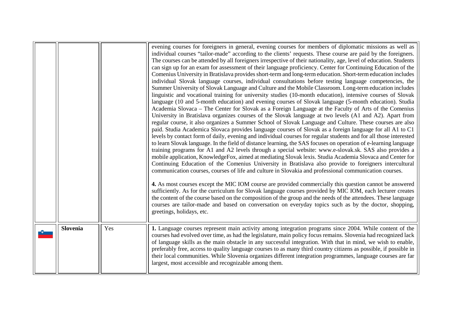<span id="page-29-0"></span>

| <b>Slovenia</b> | Yes | Summer University of Slovak Language and Culture and the Mobile Classroom. Long-term education includes<br>linguistic and vocational training for university studies (10-month education), intensive courses of Slovak<br>language (10 and 5-month education) and evening courses of Slovak language (5-month education). Studia<br>Academia Slovaca - The Center for Slovak as a Foreign Language at the Faculty of Arts of the Comenius<br>University in Bratislava organizes courses of the Slovak language at two levels (A1 and A2). Apart from<br>regular course, it also organizes a Summer School of Slovak Language and Culture. These courses are also<br>paid. Studia Academica Slovaca provides language courses of Slovak as a foreign language for all A1 to C1<br>levels by contact form of daily, evening and individual courses for regular students and for all those interested<br>to learn Slovak language. In the field of distance learning, the SAS focuses on operation of e-learning language<br>training programs for A1 and A2 levels through a special website: www.e-slovak.sk. SAS also provides a<br>mobile application, KnowledgeFox, aimed at mediating Slovak lexis. Studia Academia Slovaca and Center for<br>Continuing Education of the Comenius University in Bratislava also provide to foreigners intercultural<br>communication courses, courses of life and culture in Slovakia and professional communication courses.<br>4. As most courses except the MIC IOM course are provided commercially this question cannot be answered<br>sufficiently. As for the curriculum for Slovak language courses provided by MIC IOM, each lecturer creates<br>the content of the course based on the composition of the group and the needs of the attendees. These language<br>courses are tailor-made and based on conversation on everyday topics such as by the doctor, shopping,<br>greetings, holidays, etc.<br>1. Language courses represent main activity among integration programs since 2004. While content of the<br>courses had evolved over time, as had the legislature, main policy focus remains. Slovenia had recognized lack |
|-----------------|-----|---------------------------------------------------------------------------------------------------------------------------------------------------------------------------------------------------------------------------------------------------------------------------------------------------------------------------------------------------------------------------------------------------------------------------------------------------------------------------------------------------------------------------------------------------------------------------------------------------------------------------------------------------------------------------------------------------------------------------------------------------------------------------------------------------------------------------------------------------------------------------------------------------------------------------------------------------------------------------------------------------------------------------------------------------------------------------------------------------------------------------------------------------------------------------------------------------------------------------------------------------------------------------------------------------------------------------------------------------------------------------------------------------------------------------------------------------------------------------------------------------------------------------------------------------------------------------------------------------------------------------------------------------------------------------------------------------------------------------------------------------------------------------------------------------------------------------------------------------------------------------------------------------------------------------------------------------------------------------------------------------------------------------------------------------------------------------------------------------------------------------------------------------------------------------------|
|                 |     | of language skills as the main obstacle in any successful integration. With that in mind, we wish to enable,<br>preferably free, access to quality language courses to as many third country citizens as possible, if possible in<br>their local communities. While Slovenia organizes different integration programmes, language courses are far<br>largest, most accessible and recognizable among them.                                                                                                                                                                                                                                                                                                                                                                                                                                                                                                                                                                                                                                                                                                                                                                                                                                                                                                                                                                                                                                                                                                                                                                                                                                                                                                                                                                                                                                                                                                                                                                                                                                                                                                                                                                      |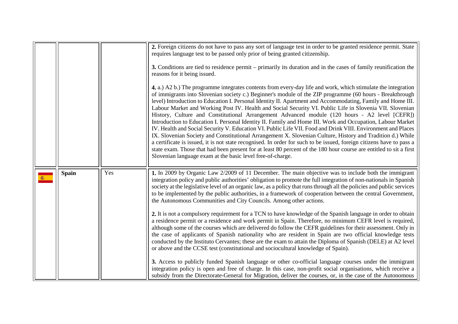<span id="page-30-0"></span>

|              |     | 2. Foreign citizens do not have to pass any sort of language test in order to be granted residence permit. State<br>requires language test to be passed only prior of being granted citizenship.                                                                                                                                                                                                                                                                                                                                                                                                                                                                                                                                                                                                                                                                                                                                                                                                                                                                                                                                                                                                              |
|--------------|-----|---------------------------------------------------------------------------------------------------------------------------------------------------------------------------------------------------------------------------------------------------------------------------------------------------------------------------------------------------------------------------------------------------------------------------------------------------------------------------------------------------------------------------------------------------------------------------------------------------------------------------------------------------------------------------------------------------------------------------------------------------------------------------------------------------------------------------------------------------------------------------------------------------------------------------------------------------------------------------------------------------------------------------------------------------------------------------------------------------------------------------------------------------------------------------------------------------------------|
|              |     | 3. Conditions are tied to residence permit – primarily its duration and in the cases of family reunification the<br>reasons for it being issued.                                                                                                                                                                                                                                                                                                                                                                                                                                                                                                                                                                                                                                                                                                                                                                                                                                                                                                                                                                                                                                                              |
|              |     | 4. a.) A2 b.) The programme integrates contents from every-day life and work, which stimulate the integration<br>of immigrants into Slovenian society c.) Beginner's module of the ZIP programme (60 hours - Breakthrough<br>level) Introduction to Education I. Personal Identity II. Apartment and Accommodating, Family and Home III.<br>Labour Market and Working Post IV. Health and Social Security VI. Public Life in Slovenia VII. Slovenian<br>History, Culture and Constitutional Arrangement Advanced module (120 hours - A2 level [CEFR])<br>Introduction to Education I. Personal Identity II. Family and Home III. Work and Occupation, Labour Market<br>IV. Health and Social Security V. Education VI. Public Life VII. Food and Drink VIII. Environment and Places<br>IX. Slovenian Society and Constitutional Arrangement X. Slovenian Culture, History and Tradition d.) While<br>a certificate is issued, it is not state recognised. In order for such to be issued, foreign citizens have to pass a<br>state exam. Those that had been present for at least 80 percent of the 180 hour course are entitled to sit a first<br>Slovenian language exam at the basic level free-of-charge. |
| <b>Spain</b> | Yes | 1. In 2009 by Organic Law 2/2009 of 11 December. The main objective was to include both the immigrant<br>integration policy and public authorities' obligation to promote the full integration of non-nationals in Spanish<br>society at the legislative level of an organic law, as a policy that runs through all the policies and public services<br>to be implemented by the public authorities, in a framework of cooperation between the central Government,<br>the Autonomous Communities and City Councils. Among other actions.                                                                                                                                                                                                                                                                                                                                                                                                                                                                                                                                                                                                                                                                      |
|              |     | 2. It is not a compulsory requirement for a TCN to have knowledge of the Spanish language in order to obtain<br>a residence permit or a residence and work permit in Spain. Therefore, no minimum CEFR level is required,<br>although some of the courses which are delivered do follow the CEFR guidelines for their assessment. Only in<br>the case of applicants of Spanish nationality who are resident in Spain are two official knowledge tests<br>conducted by the Instituto Cervantes; these are the exam to attain the Diploma of Spanish (DELE) at A2 level<br>or above and the CCSE test (constitutional and sociocultural knowledge of Spain).                                                                                                                                                                                                                                                                                                                                                                                                                                                                                                                                                    |
|              |     | 3. Access to publicly funded Spanish language or other co-official language courses under the immigrant<br>integration policy is open and free of charge. In this case, non-profit social organisations, which receive a<br>subsidy from the Directorate-General for Migration, deliver the courses, or, in the case of the Autonomous                                                                                                                                                                                                                                                                                                                                                                                                                                                                                                                                                                                                                                                                                                                                                                                                                                                                        |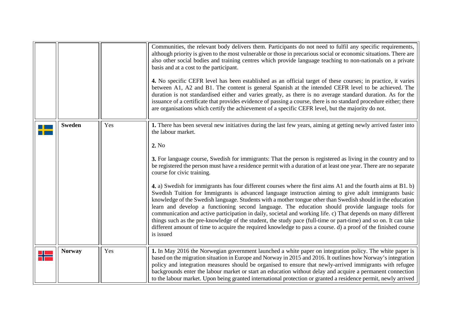<span id="page-31-0"></span>

|               |     | Communities, the relevant body delivers them. Participants do not need to fulfil any specific requirements,<br>although priority is given to the most vulnerable or those in precarious social or economic situations. There are<br>also other social bodies and training centres which provide language teaching to non-nationals on a private<br>basis and at a cost to the participant.<br>4. No specific CEFR level has been established as an official target of these courses; in practice, it varies<br>between A1, A2 and B1. The content is general Spanish at the intended CEFR level to be achieved. The<br>duration is not standardised either and varies greatly, as there is no average standard duration. As for the<br>issuance of a certificate that provides evidence of passing a course, there is no standard procedure either; there<br>are organisations which certify the achievement of a specific CEFR level, but the majority do not.                                                                                                                                                                                                                                                                     |
|---------------|-----|-------------------------------------------------------------------------------------------------------------------------------------------------------------------------------------------------------------------------------------------------------------------------------------------------------------------------------------------------------------------------------------------------------------------------------------------------------------------------------------------------------------------------------------------------------------------------------------------------------------------------------------------------------------------------------------------------------------------------------------------------------------------------------------------------------------------------------------------------------------------------------------------------------------------------------------------------------------------------------------------------------------------------------------------------------------------------------------------------------------------------------------------------------------------------------------------------------------------------------------|
| <b>Sweden</b> | Yes | 1. There has been several new initiatives during the last few years, aiming at getting newly arrived faster into<br>the labour market.<br>2. No<br>3. For language course, Swedish for immigrants: That the person is registered as living in the country and to<br>be registered the person must have a residence permit with a duration of at least one year. There are no separate<br>course for civic training.<br>4. a) Swedish for immigrants has four different courses where the first aims A1 and the fourth aims at B1. b)<br>Swedish Tuition for Immigrants is advanced language instruction aiming to give adult immigrants basic<br>knowledge of the Swedish language. Students with a mother tongue other than Swedish should in the education<br>learn and develop a functioning second language. The education should provide language tools for<br>communication and active participation in daily, societal and working life. c) That depends on many different<br>things such as the pre-knowledge of the student, the study pace (full-time or part-time) and so on. It can take<br>different amount of time to acquire the required knowledge to pass a course. d) a proof of the finished course<br>is issued |
| <b>Norway</b> | Yes | 1. In May 2016 the Norwegian government launched a white paper on integration policy. The white paper is<br>based on the migration situation in Europe and Norway in 2015 and 2016. It outlines how Norway's integration<br>policy and integration measures should be organised to ensure that newly-arrived immigrants with refugee<br>backgrounds enter the labour market or start an education without delay and acquire a permanent connection<br>to the labour market. Upon being granted international protection or granted a residence permit, newly arrived                                                                                                                                                                                                                                                                                                                                                                                                                                                                                                                                                                                                                                                                |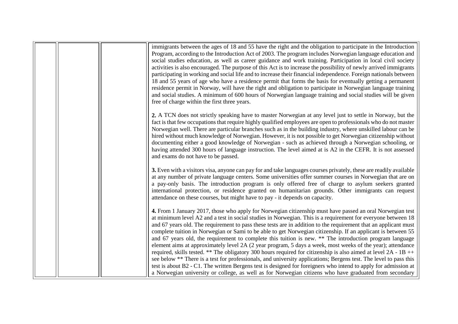|  | immigrants between the ages of 18 and 55 have the right and the obligation to participate in the Introduction<br>Program, according to the Introduction Act of 2003. The program includes Norwegian language education and<br>social studies education, as well as career guidance and work training. Participation in local civil society<br>activities is also encouraged. The purpose of this Act is to increase the possibility of newly arrived immigrants<br>participating in working and social life and to increase their financial independence. Foreign nationals between<br>18 and 55 years of age who have a residence permit that forms the basis for eventually getting a permanent<br>residence permit in Norway, will have the right and obligation to participate in Norwegian language training<br>and social studies. A minimum of 600 hours of Norwegian language training and social studies will be given<br>free of charge within the first three years.                                                                                                                                                                               |
|--|---------------------------------------------------------------------------------------------------------------------------------------------------------------------------------------------------------------------------------------------------------------------------------------------------------------------------------------------------------------------------------------------------------------------------------------------------------------------------------------------------------------------------------------------------------------------------------------------------------------------------------------------------------------------------------------------------------------------------------------------------------------------------------------------------------------------------------------------------------------------------------------------------------------------------------------------------------------------------------------------------------------------------------------------------------------------------------------------------------------------------------------------------------------|
|  | 2. A TCN does not strictly speaking have to master Norwegian at any level just to settle in Norway, but the<br>fact is that few occupations that require highly qualified employees are open to professionals who do not master<br>Norwegian well. There are particular branches such as in the building industry, where unskilled labour can be<br>hired without much knowledge of Norwegian. However, it is not possible to get Norwegian citizenship without<br>documenting either a good knowledge of Norwegian - such as achieved through a Norwegian schooling, or<br>having attended 300 hours of language instruction. The level aimed at is A2 in the CEFR. It is not assessed<br>and exams do not have to be passed.                                                                                                                                                                                                                                                                                                                                                                                                                                |
|  | 3. Even with a visitors visa, anyone can pay for and take languages courses privately, these are readily available<br>at any number of private language centers. Some universities offer summer courses in Norwegian that are on<br>a pay-only basis. The introduction program is only offered free of charge to asylum seekers granted<br>international protection, or residence granted on humanitarian grounds. Other immigrants can request<br>attendance on these courses, but might have to pay - it depends on capacity.                                                                                                                                                                                                                                                                                                                                                                                                                                                                                                                                                                                                                               |
|  | 4. From 1 January 2017, those who apply for Norwegian citizenship must have passed an oral Norwegian test<br>at minimum level A2 and a test in social studies in Norwegian. This is a requirement for everyone between 18<br>and 67 years old. The requirement to pass these tests are in addition to the requirement that an applicant must<br>complete tuition in Norwegian or Sami to be able to get Norwegian citizenship. If an applicant is between 55<br>and 67 years old, the requirement to complete this tuition is new. ** The introduction program language<br>element aims at approximately level 2A (2 year program, 5 days a week, most weeks of the year); attendance<br>required, skills tested. ** The obligatory 300 hours required for citizenship is also aimed at level $2A - 1B + +$<br>see below ** There is a test for professionals, and university applications; Bergens test. The level to pass this<br>test is about B2 - C1. The written Bergens test is designed for foreigners who intend to apply for admission at<br>a Norwegian university or college, as well as for Norwegian citizens who have graduated from secondary |